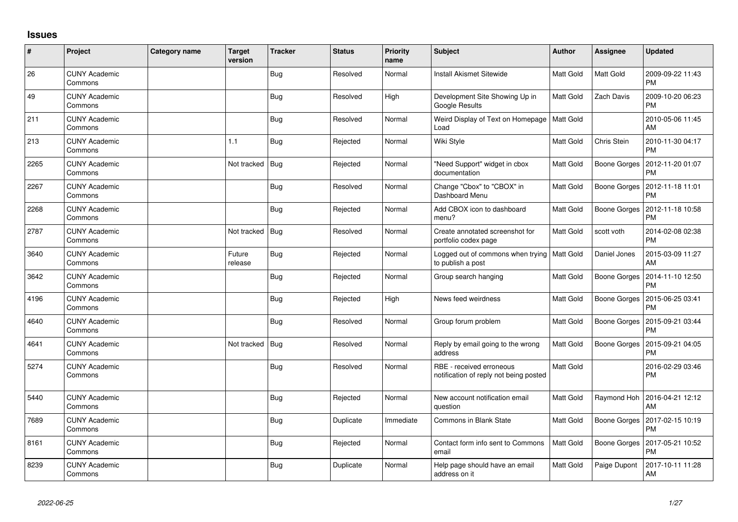## **Issues**

| ∦    | Project                         | Category name | <b>Target</b><br>version | <b>Tracker</b> | <b>Status</b> | <b>Priority</b><br>name | Subject                                                            | <b>Author</b>    | Assignee            | <b>Updated</b>                |
|------|---------------------------------|---------------|--------------------------|----------------|---------------|-------------------------|--------------------------------------------------------------------|------------------|---------------------|-------------------------------|
| 26   | <b>CUNY Academic</b><br>Commons |               |                          | Bug            | Resolved      | Normal                  | Install Akismet Sitewide                                           | Matt Gold        | Matt Gold           | 2009-09-22 11:43<br><b>PM</b> |
| 49   | <b>CUNY Academic</b><br>Commons |               |                          | Bug            | Resolved      | High                    | Development Site Showing Up in<br><b>Google Results</b>            | <b>Matt Gold</b> | Zach Davis          | 2009-10-20 06:23<br><b>PM</b> |
| 211  | <b>CUNY Academic</b><br>Commons |               |                          | Bug            | Resolved      | Normal                  | Weird Display of Text on Homepage   Matt Gold<br>Load              |                  |                     | 2010-05-06 11:45<br>AM        |
| 213  | <b>CUNY Academic</b><br>Commons |               | 1.1                      | <b>Bug</b>     | Rejected      | Normal                  | Wiki Style                                                         | <b>Matt Gold</b> | Chris Stein         | 2010-11-30 04:17<br><b>PM</b> |
| 2265 | <b>CUNY Academic</b><br>Commons |               | Not tracked              | <b>Bug</b>     | Rejected      | Normal                  | "Need Support" widget in cbox<br>documentation                     | Matt Gold        | Boone Gorges        | 2012-11-20 01:07<br>PM        |
| 2267 | <b>CUNY Academic</b><br>Commons |               |                          | Bug            | Resolved      | Normal                  | Change "Cbox" to "CBOX" in<br>Dashboard Menu                       | <b>Matt Gold</b> | <b>Boone Gorges</b> | 2012-11-18 11:01<br><b>PM</b> |
| 2268 | <b>CUNY Academic</b><br>Commons |               |                          | Bug            | Rejected      | Normal                  | Add CBOX icon to dashboard<br>menu?                                | Matt Gold        | <b>Boone Gorges</b> | 2012-11-18 10:58<br><b>PM</b> |
| 2787 | <b>CUNY Academic</b><br>Commons |               | Not tracked              | <b>Bug</b>     | Resolved      | Normal                  | Create annotated screenshot for<br>portfolio codex page            | <b>Matt Gold</b> | scott voth          | 2014-02-08 02:38<br><b>PM</b> |
| 3640 | <b>CUNY Academic</b><br>Commons |               | Future<br>release        | Bug            | Rejected      | Normal                  | Logged out of commons when trying   Matt Gold<br>to publish a post |                  | Daniel Jones        | 2015-03-09 11:27<br>AM        |
| 3642 | <b>CUNY Academic</b><br>Commons |               |                          | Bug            | Rejected      | Normal                  | Group search hanging                                               | <b>Matt Gold</b> | Boone Gorges        | 2014-11-10 12:50<br><b>PM</b> |
| 4196 | <b>CUNY Academic</b><br>Commons |               |                          | Bug            | Rejected      | High                    | News feed weirdness                                                | <b>Matt Gold</b> | Boone Gorges        | 2015-06-25 03:41<br><b>PM</b> |
| 4640 | <b>CUNY Academic</b><br>Commons |               |                          | Bug            | Resolved      | Normal                  | Group forum problem                                                | <b>Matt Gold</b> | Boone Gorges        | 2015-09-21 03:44<br><b>PM</b> |
| 4641 | <b>CUNY Academic</b><br>Commons |               | Not tracked              | <b>Bug</b>     | Resolved      | Normal                  | Reply by email going to the wrong<br>address                       | Matt Gold        | Boone Gorges        | 2015-09-21 04:05<br>РM        |
| 5274 | <b>CUNY Academic</b><br>Commons |               |                          | Bug            | Resolved      | Normal                  | RBE - received erroneous<br>notification of reply not being posted | <b>Matt Gold</b> |                     | 2016-02-29 03:46<br><b>PM</b> |
| 5440 | <b>CUNY Academic</b><br>Commons |               |                          | Bug            | Rejected      | Normal                  | New account notification email<br>question                         | Matt Gold        | Raymond Hoh         | 2016-04-21 12:12<br>AM        |
| 7689 | <b>CUNY Academic</b><br>Commons |               |                          | Bug            | Duplicate     | Immediate               | Commons in Blank State                                             | Matt Gold        | Boone Gorges        | 2017-02-15 10:19<br><b>PM</b> |
| 8161 | <b>CUNY Academic</b><br>Commons |               |                          | Bug            | Rejected      | Normal                  | Contact form info sent to Commons<br>email                         | Matt Gold        | Boone Gorges        | 2017-05-21 10:52<br>PM        |
| 8239 | <b>CUNY Academic</b><br>Commons |               |                          | Bug            | Duplicate     | Normal                  | Help page should have an email<br>address on it                    | Matt Gold        | Paige Dupont        | 2017-10-11 11:28<br>AM        |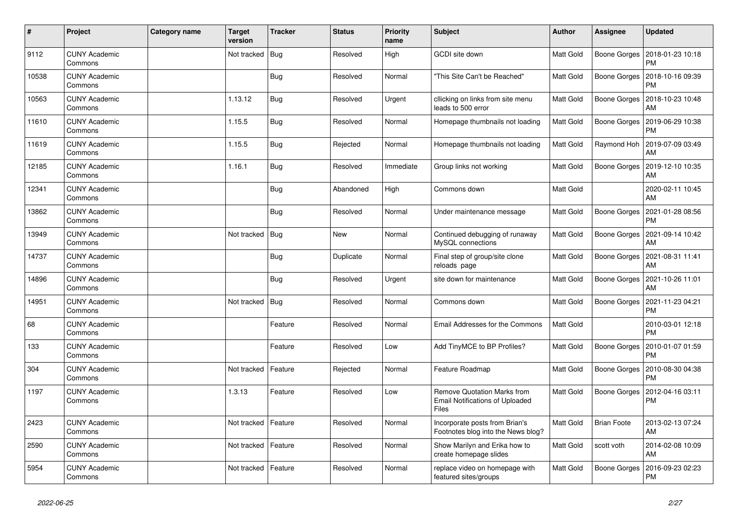| $\sharp$ | Project                         | <b>Category name</b> | Target<br>version | <b>Tracker</b> | <b>Status</b> | <b>Priority</b><br>name | <b>Subject</b>                                                                        | Author           | Assignee           | <b>Updated</b>                |
|----------|---------------------------------|----------------------|-------------------|----------------|---------------|-------------------------|---------------------------------------------------------------------------------------|------------------|--------------------|-------------------------------|
| 9112     | <b>CUNY Academic</b><br>Commons |                      | Not tracked       | Bug            | Resolved      | High                    | <b>GCDI</b> site down                                                                 | Matt Gold        | Boone Gorges       | 2018-01-23 10:18<br><b>PM</b> |
| 10538    | <b>CUNY Academic</b><br>Commons |                      |                   | <b>Bug</b>     | Resolved      | Normal                  | "This Site Can't be Reached"                                                          | Matt Gold        | Boone Gorges       | 2018-10-16 09:39<br><b>PM</b> |
| 10563    | <b>CUNY Academic</b><br>Commons |                      | 1.13.12           | <b>Bug</b>     | Resolved      | Urgent                  | cllicking on links from site menu<br>leads to 500 error                               | Matt Gold        | Boone Gorges       | 2018-10-23 10:48<br>AM        |
| 11610    | <b>CUNY Academic</b><br>Commons |                      | 1.15.5            | <b>Bug</b>     | Resolved      | Normal                  | Homepage thumbnails not loading                                                       | Matt Gold        | Boone Gorges       | 2019-06-29 10:38<br><b>PM</b> |
| 11619    | <b>CUNY Academic</b><br>Commons |                      | 1.15.5            | Bug            | Rejected      | Normal                  | Homepage thumbnails not loading                                                       | Matt Gold        | Raymond Hoh        | 2019-07-09 03:49<br>AM        |
| 12185    | <b>CUNY Academic</b><br>Commons |                      | 1.16.1            | <b>Bug</b>     | Resolved      | Immediate               | Group links not working                                                               | Matt Gold        | Boone Gorges       | 2019-12-10 10:35<br>AM        |
| 12341    | <b>CUNY Academic</b><br>Commons |                      |                   | <b>Bug</b>     | Abandoned     | High                    | Commons down                                                                          | <b>Matt Gold</b> |                    | 2020-02-11 10:45<br>AM        |
| 13862    | <b>CUNY Academic</b><br>Commons |                      |                   | Bug            | Resolved      | Normal                  | Under maintenance message                                                             | Matt Gold        | Boone Gorges       | 2021-01-28 08:56<br><b>PM</b> |
| 13949    | <b>CUNY Academic</b><br>Commons |                      | Not tracked       | Bug            | <b>New</b>    | Normal                  | Continued debugging of runaway<br>MySQL connections                                   | Matt Gold        | Boone Gorges       | 2021-09-14 10:42<br>AM        |
| 14737    | <b>CUNY Academic</b><br>Commons |                      |                   | Bug            | Duplicate     | Normal                  | Final step of group/site clone<br>reloads page                                        | <b>Matt Gold</b> | Boone Gorges       | 2021-08-31 11:41<br>AM        |
| 14896    | <b>CUNY Academic</b><br>Commons |                      |                   | Bug            | Resolved      | Urgent                  | site down for maintenance                                                             | Matt Gold        | Boone Gorges       | 2021-10-26 11:01<br>AM        |
| 14951    | <b>CUNY Academic</b><br>Commons |                      | Not tracked       | Bug            | Resolved      | Normal                  | Commons down                                                                          | Matt Gold        | Boone Gorges       | 2021-11-23 04:21<br><b>PM</b> |
| 68       | <b>CUNY Academic</b><br>Commons |                      |                   | Feature        | Resolved      | Normal                  | Email Addresses for the Commons                                                       | Matt Gold        |                    | 2010-03-01 12:18<br><b>PM</b> |
| 133      | <b>CUNY Academic</b><br>Commons |                      |                   | Feature        | Resolved      | Low                     | Add TinyMCE to BP Profiles?                                                           | Matt Gold        | Boone Gorges       | 2010-01-07 01:59<br><b>PM</b> |
| 304      | <b>CUNY Academic</b><br>Commons |                      | Not tracked       | Feature        | Rejected      | Normal                  | Feature Roadmap                                                                       | <b>Matt Gold</b> | Boone Gorges       | 2010-08-30 04:38<br><b>PM</b> |
| 1197     | <b>CUNY Academic</b><br>Commons |                      | 1.3.13            | Feature        | Resolved      | Low                     | <b>Remove Quotation Marks from</b><br><b>Email Notifications of Uploaded</b><br>Files | Matt Gold        | Boone Gorges       | 2012-04-16 03:11<br><b>PM</b> |
| 2423     | <b>CUNY Academic</b><br>Commons |                      | Not tracked       | Feature        | Resolved      | Normal                  | Incorporate posts from Brian's<br>Footnotes blog into the News blog?                  | Matt Gold        | <b>Brian Foote</b> | 2013-02-13 07:24<br>AM        |
| 2590     | <b>CUNY Academic</b><br>Commons |                      | Not tracked       | Feature        | Resolved      | Normal                  | Show Marilyn and Erika how to<br>create homepage slides                               | Matt Gold        | scott voth         | 2014-02-08 10:09<br>AM        |
| 5954     | <b>CUNY Academic</b><br>Commons |                      | Not tracked       | Feature        | Resolved      | Normal                  | replace video on homepage with<br>featured sites/groups                               | Matt Gold        | Boone Gorges       | 2016-09-23 02:23<br>PM        |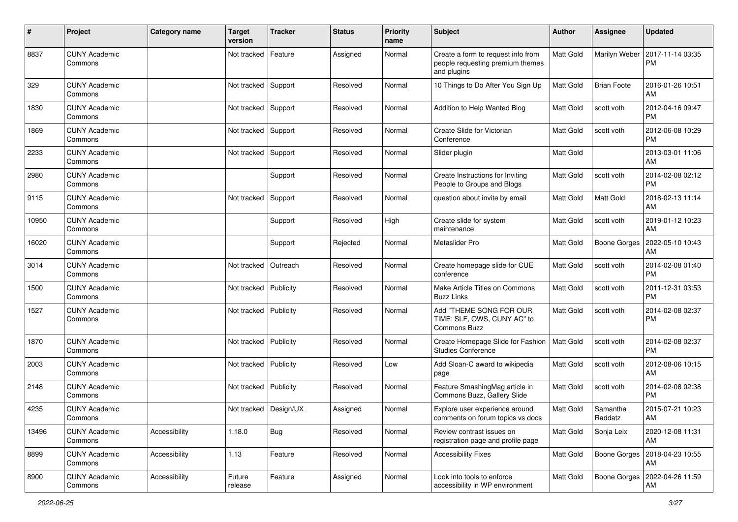| #     | Project                         | <b>Category name</b> | <b>Target</b><br>version | <b>Tracker</b> | <b>Status</b> | <b>Priority</b><br>name | Subject                                                                               | Author    | Assignee            | <b>Updated</b>                |
|-------|---------------------------------|----------------------|--------------------------|----------------|---------------|-------------------------|---------------------------------------------------------------------------------------|-----------|---------------------|-------------------------------|
| 8837  | <b>CUNY Academic</b><br>Commons |                      | Not tracked              | Feature        | Assigned      | Normal                  | Create a form to request info from<br>people requesting premium themes<br>and plugins | Matt Gold | Marilyn Weber       | 2017-11-14 03:35<br><b>PM</b> |
| 329   | <b>CUNY Academic</b><br>Commons |                      | Not tracked              | Support        | Resolved      | Normal                  | 10 Things to Do After You Sign Up                                                     | Matt Gold | <b>Brian Foote</b>  | 2016-01-26 10:51<br>AM        |
| 1830  | <b>CUNY Academic</b><br>Commons |                      | Not tracked Support      |                | Resolved      | Normal                  | Addition to Help Wanted Blog                                                          | Matt Gold | scott voth          | 2012-04-16 09:47<br><b>PM</b> |
| 1869  | <b>CUNY Academic</b><br>Commons |                      | Not tracked              | Support        | Resolved      | Normal                  | Create Slide for Victorian<br>Conference                                              | Matt Gold | scott voth          | 2012-06-08 10:29<br><b>PM</b> |
| 2233  | <b>CUNY Academic</b><br>Commons |                      | Not tracked              | Support        | Resolved      | Normal                  | Slider plugin                                                                         | Matt Gold |                     | 2013-03-01 11:06<br>AM        |
| 2980  | <b>CUNY Academic</b><br>Commons |                      |                          | Support        | Resolved      | Normal                  | Create Instructions for Inviting<br>People to Groups and Blogs                        | Matt Gold | scott voth          | 2014-02-08 02:12<br><b>PM</b> |
| 9115  | <b>CUNY Academic</b><br>Commons |                      | Not tracked              | Support        | Resolved      | Normal                  | question about invite by email                                                        | Matt Gold | Matt Gold           | 2018-02-13 11:14<br>AM        |
| 10950 | <b>CUNY Academic</b><br>Commons |                      |                          | Support        | Resolved      | High                    | Create slide for system<br>maintenance                                                | Matt Gold | scott voth          | 2019-01-12 10:23<br>AM        |
| 16020 | <b>CUNY Academic</b><br>Commons |                      |                          | Support        | Rejected      | Normal                  | Metaslider Pro                                                                        | Matt Gold | Boone Gorges        | 2022-05-10 10:43<br>AM        |
| 3014  | <b>CUNY Academic</b><br>Commons |                      | Not tracked              | Outreach       | Resolved      | Normal                  | Create homepage slide for CUE<br>conference                                           | Matt Gold | scott voth          | 2014-02-08 01:40<br><b>PM</b> |
| 1500  | <b>CUNY Academic</b><br>Commons |                      | Not tracked              | Publicity      | Resolved      | Normal                  | Make Article Titles on Commons<br><b>Buzz Links</b>                                   | Matt Gold | scott voth          | 2011-12-31 03:53<br><b>PM</b> |
| 1527  | <b>CUNY Academic</b><br>Commons |                      | Not tracked              | Publicity      | Resolved      | Normal                  | Add "THEME SONG FOR OUR<br>TIME: SLF, OWS, CUNY AC" to<br>Commons Buzz                | Matt Gold | scott voth          | 2014-02-08 02:37<br><b>PM</b> |
| 1870  | <b>CUNY Academic</b><br>Commons |                      | Not tracked              | Publicity      | Resolved      | Normal                  | Create Homepage Slide for Fashion<br><b>Studies Conference</b>                        | Matt Gold | scott voth          | 2014-02-08 02:37<br><b>PM</b> |
| 2003  | <b>CUNY Academic</b><br>Commons |                      | Not tracked              | Publicity      | Resolved      | Low                     | Add Sloan-C award to wikipedia<br>page                                                | Matt Gold | scott voth          | 2012-08-06 10:15<br>AM        |
| 2148  | <b>CUNY Academic</b><br>Commons |                      | Not tracked              | Publicity      | Resolved      | Normal                  | Feature SmashingMag article in<br>Commons Buzz, Gallery Slide                         | Matt Gold | scott voth          | 2014-02-08 02:38<br><b>PM</b> |
| 4235  | CUNY Academic<br>Commons        |                      | Not tracked   Design/UX  |                | Assigned      | Normal                  | Explore user experience around<br>comments on forum topics vs docs                    | Matt Gold | Samantha<br>Raddatz | 2015-07-21 10:23<br>AM        |
| 13496 | <b>CUNY Academic</b><br>Commons | Accessibility        | 1.18.0                   | Bug            | Resolved      | Normal                  | Review contrast issues on<br>registration page and profile page                       | Matt Gold | Sonja Leix          | 2020-12-08 11:31<br>AM        |
| 8899  | <b>CUNY Academic</b><br>Commons | Accessibility        | 1.13                     | Feature        | Resolved      | Normal                  | <b>Accessibility Fixes</b>                                                            | Matt Gold | Boone Gorges        | 2018-04-23 10:55<br>AM        |
| 8900  | <b>CUNY Academic</b><br>Commons | Accessibility        | Future<br>release        | Feature        | Assigned      | Normal                  | Look into tools to enforce<br>accessibility in WP environment                         | Matt Gold | Boone Gorges        | 2022-04-26 11:59<br>AM        |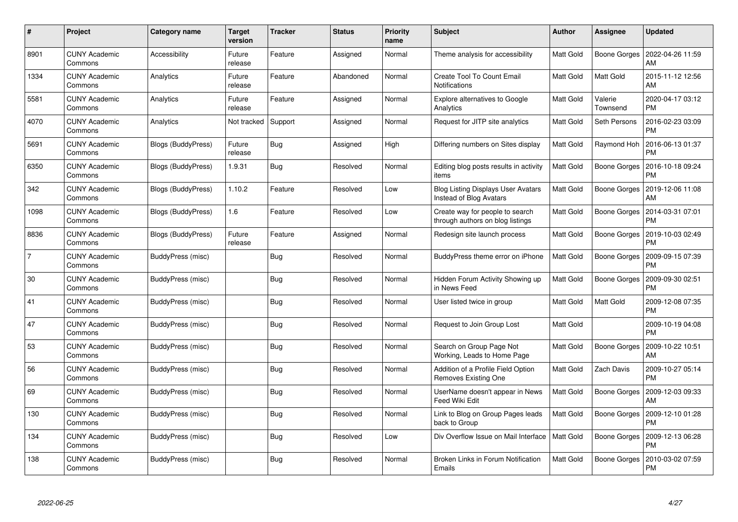| #              | Project                         | Category name             | <b>Target</b><br>version | <b>Tracker</b> | <b>Status</b> | <b>Priority</b><br>name | <b>Subject</b>                                                       | <b>Author</b>    | Assignee            | <b>Updated</b>                |
|----------------|---------------------------------|---------------------------|--------------------------|----------------|---------------|-------------------------|----------------------------------------------------------------------|------------------|---------------------|-------------------------------|
| 8901           | <b>CUNY Academic</b><br>Commons | Accessibility             | Future<br>release        | Feature        | Assigned      | Normal                  | Theme analysis for accessibility                                     | <b>Matt Gold</b> | Boone Gorges        | 2022-04-26 11:59<br>AM        |
| 1334           | <b>CUNY Academic</b><br>Commons | Analytics                 | Future<br>release        | Feature        | Abandoned     | Normal                  | Create Tool To Count Email<br>Notifications                          | <b>Matt Gold</b> | Matt Gold           | 2015-11-12 12:56<br>AM        |
| 5581           | <b>CUNY Academic</b><br>Commons | Analytics                 | Future<br>release        | Feature        | Assigned      | Normal                  | <b>Explore alternatives to Google</b><br>Analytics                   | Matt Gold        | Valerie<br>Townsend | 2020-04-17 03:12<br><b>PM</b> |
| 4070           | <b>CUNY Academic</b><br>Commons | Analytics                 | Not tracked              | Support        | Assigned      | Normal                  | Request for JITP site analytics                                      | Matt Gold        | Seth Persons        | 2016-02-23 03:09<br><b>PM</b> |
| 5691           | <b>CUNY Academic</b><br>Commons | <b>Blogs (BuddyPress)</b> | Future<br>release        | Bug            | Assigned      | High                    | Differing numbers on Sites display                                   | Matt Gold        | Raymond Hoh         | 2016-06-13 01:37<br><b>PM</b> |
| 6350           | <b>CUNY Academic</b><br>Commons | <b>Blogs (BuddyPress)</b> | 1.9.31                   | Bug            | Resolved      | Normal                  | Editing blog posts results in activity<br>items                      | Matt Gold        | Boone Gorges        | 2016-10-18 09:24<br><b>PM</b> |
| 342            | <b>CUNY Academic</b><br>Commons | Blogs (BuddyPress)        | 1.10.2                   | Feature        | Resolved      | Low                     | <b>Blog Listing Displays User Avatars</b><br>Instead of Blog Avatars | Matt Gold        | Boone Gorges        | 2019-12-06 11:08<br>AM        |
| 1098           | <b>CUNY Academic</b><br>Commons | Blogs (BuddyPress)        | 1.6                      | Feature        | Resolved      | Low                     | Create way for people to search<br>through authors on blog listings  | Matt Gold        | Boone Gorges        | 2014-03-31 07:01<br><b>PM</b> |
| 8836           | <b>CUNY Academic</b><br>Commons | Blogs (BuddyPress)        | Future<br>release        | Feature        | Assigned      | Normal                  | Redesign site launch process                                         | Matt Gold        | Boone Gorges        | 2019-10-03 02:49<br>PM        |
| $\overline{7}$ | <b>CUNY Academic</b><br>Commons | BuddyPress (misc)         |                          | <b>Bug</b>     | Resolved      | Normal                  | BuddyPress theme error on iPhone                                     | Matt Gold        | Boone Gorges        | 2009-09-15 07:39<br><b>PM</b> |
| 30             | <b>CUNY Academic</b><br>Commons | BuddyPress (misc)         |                          | <b>Bug</b>     | Resolved      | Normal                  | Hidden Forum Activity Showing up<br>in News Feed                     | Matt Gold        | <b>Boone Gorges</b> | 2009-09-30 02:51<br><b>PM</b> |
| 41             | <b>CUNY Academic</b><br>Commons | BuddyPress (misc)         |                          | <b>Bug</b>     | Resolved      | Normal                  | User listed twice in group                                           | Matt Gold        | Matt Gold           | 2009-12-08 07:35<br><b>PM</b> |
| 47             | <b>CUNY Academic</b><br>Commons | BuddyPress (misc)         |                          | Bug            | Resolved      | Normal                  | Request to Join Group Lost                                           | Matt Gold        |                     | 2009-10-19 04:08<br><b>PM</b> |
| 53             | <b>CUNY Academic</b><br>Commons | BuddyPress (misc)         |                          | Bug            | Resolved      | Normal                  | Search on Group Page Not<br>Working, Leads to Home Page              | Matt Gold        | Boone Gorges        | 2009-10-22 10:51<br>AM        |
| 56             | <b>CUNY Academic</b><br>Commons | BuddyPress (misc)         |                          | Bug            | Resolved      | Normal                  | Addition of a Profile Field Option<br>Removes Existing One           | Matt Gold        | Zach Davis          | 2009-10-27 05:14<br><b>PM</b> |
| 69             | <b>CUNY Academic</b><br>Commons | BuddyPress (misc)         |                          | Bug            | Resolved      | Normal                  | UserName doesn't appear in News<br>Feed Wiki Edit                    | Matt Gold        | Boone Gorges        | 2009-12-03 09:33<br>AM        |
| 130            | <b>CUNY Academic</b><br>Commons | BuddyPress (misc)         |                          | Bug            | Resolved      | Normal                  | Link to Blog on Group Pages leads<br>back to Group                   | Matt Gold        | Boone Gorges        | 2009-12-10 01:28<br><b>PM</b> |
| 134            | <b>CUNY Academic</b><br>Commons | BuddyPress (misc)         |                          | Bug            | Resolved      | Low                     | Div Overflow Issue on Mail Interface                                 | Matt Gold        | Boone Gorges        | 2009-12-13 06:28<br><b>PM</b> |
| 138            | <b>CUNY Academic</b><br>Commons | <b>BuddyPress (misc)</b>  |                          | Bug            | Resolved      | Normal                  | Broken Links in Forum Notification<br>Emails                         | Matt Gold        | Boone Gorges        | 2010-03-02 07:59<br><b>PM</b> |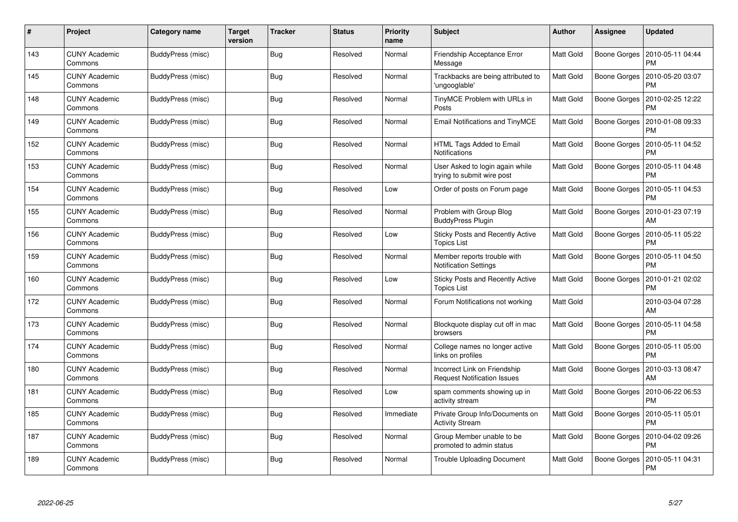| $\#$ | Project                         | Category name     | Target<br>version | <b>Tracker</b> | <b>Status</b> | <b>Priority</b><br>name | <b>Subject</b>                                                     | <b>Author</b> | Assignee     | <b>Updated</b>                |
|------|---------------------------------|-------------------|-------------------|----------------|---------------|-------------------------|--------------------------------------------------------------------|---------------|--------------|-------------------------------|
| 143  | <b>CUNY Academic</b><br>Commons | BuddyPress (misc) |                   | <b>Bug</b>     | Resolved      | Normal                  | Friendship Acceptance Error<br>Message                             | Matt Gold     | Boone Gorges | 2010-05-11 04:44<br><b>PM</b> |
| 145  | <b>CUNY Academic</b><br>Commons | BuddyPress (misc) |                   | Bug            | Resolved      | Normal                  | Trackbacks are being attributed to<br>'ungooglable'                | Matt Gold     | Boone Gorges | 2010-05-20 03:07<br><b>PM</b> |
| 148  | <b>CUNY Academic</b><br>Commons | BuddyPress (misc) |                   | Bug            | Resolved      | Normal                  | TinyMCE Problem with URLs in<br>Posts                              | Matt Gold     | Boone Gorges | 2010-02-25 12:22<br><b>PM</b> |
| 149  | <b>CUNY Academic</b><br>Commons | BuddyPress (misc) |                   | Bug            | Resolved      | Normal                  | Email Notifications and TinyMCE                                    | Matt Gold     | Boone Gorges | 2010-01-08 09:33<br><b>PM</b> |
| 152  | <b>CUNY Academic</b><br>Commons | BuddyPress (misc) |                   | Bug            | Resolved      | Normal                  | HTML Tags Added to Email<br><b>Notifications</b>                   | Matt Gold     | Boone Gorges | 2010-05-11 04:52<br><b>PM</b> |
| 153  | <b>CUNY Academic</b><br>Commons | BuddyPress (misc) |                   | Bug            | Resolved      | Normal                  | User Asked to login again while<br>trying to submit wire post      | Matt Gold     | Boone Gorges | 2010-05-11 04:48<br><b>PM</b> |
| 154  | <b>CUNY Academic</b><br>Commons | BuddyPress (misc) |                   | Bug            | Resolved      | Low                     | Order of posts on Forum page                                       | Matt Gold     | Boone Gorges | 2010-05-11 04:53<br><b>PM</b> |
| 155  | <b>CUNY Academic</b><br>Commons | BuddyPress (misc) |                   | <b>Bug</b>     | Resolved      | Normal                  | Problem with Group Blog<br><b>BuddyPress Plugin</b>                | Matt Gold     | Boone Gorges | 2010-01-23 07:19<br>AM        |
| 156  | <b>CUNY Academic</b><br>Commons | BuddyPress (misc) |                   | Bug            | Resolved      | Low                     | Sticky Posts and Recently Active<br><b>Topics List</b>             | Matt Gold     | Boone Gorges | 2010-05-11 05:22<br>PM        |
| 159  | <b>CUNY Academic</b><br>Commons | BuddyPress (misc) |                   | Bug            | Resolved      | Normal                  | Member reports trouble with<br><b>Notification Settings</b>        | Matt Gold     | Boone Gorges | 2010-05-11 04:50<br><b>PM</b> |
| 160  | <b>CUNY Academic</b><br>Commons | BuddyPress (misc) |                   | Bug            | Resolved      | Low                     | Sticky Posts and Recently Active<br><b>Topics List</b>             | Matt Gold     | Boone Gorges | 2010-01-21 02:02<br><b>PM</b> |
| 172  | <b>CUNY Academic</b><br>Commons | BuddyPress (misc) |                   | Bug            | Resolved      | Normal                  | Forum Notifications not working                                    | Matt Gold     |              | 2010-03-04 07:28<br>AM        |
| 173  | <b>CUNY Academic</b><br>Commons | BuddyPress (misc) |                   | <b>Bug</b>     | Resolved      | Normal                  | Blockquote display cut off in mac<br>browsers                      | Matt Gold     | Boone Gorges | 2010-05-11 04:58<br><b>PM</b> |
| 174  | <b>CUNY Academic</b><br>Commons | BuddyPress (misc) |                   | Bug            | Resolved      | Normal                  | College names no longer active<br>links on profiles                | Matt Gold     | Boone Gorges | 2010-05-11 05:00<br><b>PM</b> |
| 180  | <b>CUNY Academic</b><br>Commons | BuddyPress (misc) |                   | Bug            | Resolved      | Normal                  | Incorrect Link on Friendship<br><b>Request Notification Issues</b> | Matt Gold     | Boone Gorges | 2010-03-13 08:47<br>AM        |
| 181  | <b>CUNY Academic</b><br>Commons | BuddyPress (misc) |                   | <b>Bug</b>     | Resolved      | Low                     | spam comments showing up in<br>activity stream                     | Matt Gold     | Boone Gorges | 2010-06-22 06:53<br><b>PM</b> |
| 185  | <b>CUNY Academic</b><br>Commons | BuddyPress (misc) |                   | <b>Bug</b>     | Resolved      | Immediate               | Private Group Info/Documents on<br><b>Activity Stream</b>          | Matt Gold     | Boone Gorges | 2010-05-11 05:01<br><b>PM</b> |
| 187  | <b>CUNY Academic</b><br>Commons | BuddyPress (misc) |                   | Bug            | Resolved      | Normal                  | Group Member unable to be<br>promoted to admin status              | Matt Gold     | Boone Gorges | 2010-04-02 09:26<br><b>PM</b> |
| 189  | <b>CUNY Academic</b><br>Commons | BuddyPress (misc) |                   | <b>Bug</b>     | Resolved      | Normal                  | <b>Trouble Uploading Document</b>                                  | Matt Gold     | Boone Gorges | 2010-05-11 04:31<br><b>PM</b> |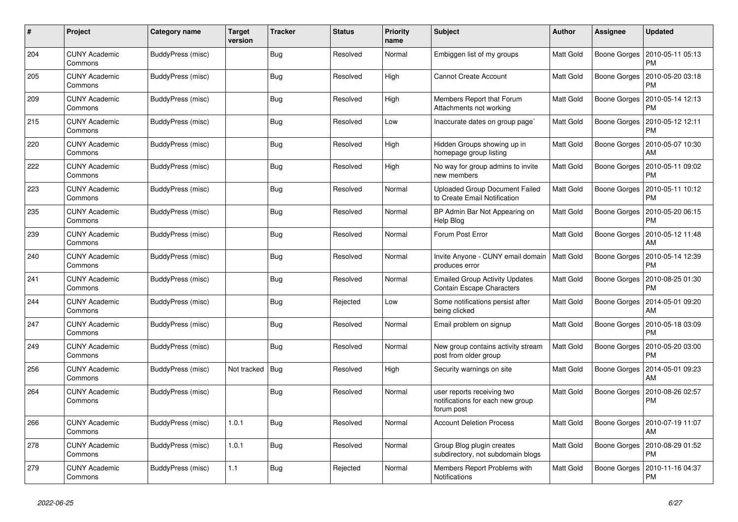| #   | Project                         | Category name     | <b>Target</b><br>version | <b>Tracker</b> | <b>Status</b> | <b>Priority</b><br>name | <b>Subject</b>                                                               | <b>Author</b> | <b>Assignee</b> | <b>Updated</b>                |
|-----|---------------------------------|-------------------|--------------------------|----------------|---------------|-------------------------|------------------------------------------------------------------------------|---------------|-----------------|-------------------------------|
| 204 | <b>CUNY Academic</b><br>Commons | BuddyPress (misc) |                          | Bug            | Resolved      | Normal                  | Embiggen list of my groups                                                   | Matt Gold     | Boone Gorges    | 2010-05-11 05:13<br>PM        |
| 205 | <b>CUNY Academic</b><br>Commons | BuddyPress (misc) |                          | <b>Bug</b>     | Resolved      | High                    | <b>Cannot Create Account</b>                                                 | Matt Gold     | Boone Gorges    | 2010-05-20 03:18<br><b>PM</b> |
| 209 | <b>CUNY Academic</b><br>Commons | BuddyPress (misc) |                          | <b>Bug</b>     | Resolved      | High                    | Members Report that Forum<br>Attachments not working                         | Matt Gold     | Boone Gorges    | 2010-05-14 12:13<br><b>PM</b> |
| 215 | <b>CUNY Academic</b><br>Commons | BuddyPress (misc) |                          | Bug            | Resolved      | Low                     | Inaccurate dates on group page`                                              | Matt Gold     | Boone Gorges    | 2010-05-12 12:11<br><b>PM</b> |
| 220 | <b>CUNY Academic</b><br>Commons | BuddyPress (misc) |                          | Bug            | Resolved      | High                    | Hidden Groups showing up in<br>homepage group listing                        | Matt Gold     | Boone Gorges    | 2010-05-07 10:30<br>AM        |
| 222 | <b>CUNY Academic</b><br>Commons | BuddyPress (misc) |                          | <b>Bug</b>     | Resolved      | High                    | No way for group admins to invite<br>new members                             | Matt Gold     | Boone Gorges    | 2010-05-11 09:02<br><b>PM</b> |
| 223 | <b>CUNY Academic</b><br>Commons | BuddyPress (misc) |                          | <b>Bug</b>     | Resolved      | Normal                  | <b>Uploaded Group Document Failed</b><br>to Create Email Notification        | Matt Gold     | Boone Gorges    | 2010-05-11 10:12<br><b>PM</b> |
| 235 | <b>CUNY Academic</b><br>Commons | BuddyPress (misc) |                          | <b>Bug</b>     | Resolved      | Normal                  | BP Admin Bar Not Appearing on<br>Help Blog                                   | Matt Gold     | Boone Gorges    | 2010-05-20 06:15<br>PM        |
| 239 | <b>CUNY Academic</b><br>Commons | BuddyPress (misc) |                          | <b>Bug</b>     | Resolved      | Normal                  | Forum Post Error                                                             | Matt Gold     | Boone Gorges    | 2010-05-12 11:48<br>AM        |
| 240 | <b>CUNY Academic</b><br>Commons | BuddyPress (misc) |                          | Bug            | Resolved      | Normal                  | Invite Anyone - CUNY email domain<br>produces error                          | Matt Gold     | Boone Gorges    | 2010-05-14 12:39<br><b>PM</b> |
| 241 | <b>CUNY Academic</b><br>Commons | BuddyPress (misc) |                          | Bug            | Resolved      | Normal                  | <b>Emailed Group Activity Updates</b><br><b>Contain Escape Characters</b>    | Matt Gold     | Boone Gorges    | 2010-08-25 01:30<br><b>PM</b> |
| 244 | <b>CUNY Academic</b><br>Commons | BuddyPress (misc) |                          | <b>Bug</b>     | Rejected      | Low                     | Some notifications persist after<br>being clicked                            | Matt Gold     | Boone Gorges    | 2014-05-01 09:20<br>AM        |
| 247 | <b>CUNY Academic</b><br>Commons | BuddyPress (misc) |                          | Bug            | Resolved      | Normal                  | Email problem on signup                                                      | Matt Gold     | Boone Gorges    | 2010-05-18 03:09<br><b>PM</b> |
| 249 | <b>CUNY Academic</b><br>Commons | BuddyPress (misc) |                          | Bug            | Resolved      | Normal                  | New group contains activity stream<br>post from older group                  | Matt Gold     | Boone Gorges    | 2010-05-20 03:00<br><b>PM</b> |
| 256 | <b>CUNY Academic</b><br>Commons | BuddyPress (misc) | Not tracked              | Bug            | Resolved      | High                    | Security warnings on site                                                    | Matt Gold     | Boone Gorges    | 2014-05-01 09:23<br>AM        |
| 264 | <b>CUNY Academic</b><br>Commons | BuddyPress (misc) |                          | Bug            | Resolved      | Normal                  | user reports receiving two<br>notifications for each new group<br>forum post | Matt Gold     | Boone Gorges    | 2010-08-26 02:57<br><b>PM</b> |
| 266 | <b>CUNY Academic</b><br>Commons | BuddyPress (misc) | 1.0.1                    | Bug            | Resolved      | Normal                  | <b>Account Deletion Process</b>                                              | Matt Gold     | Boone Gorges    | 2010-07-19 11:07<br>AM        |
| 278 | <b>CUNY Academic</b><br>Commons | BuddyPress (misc) | 1.0.1                    | Bug            | Resolved      | Normal                  | Group Blog plugin creates<br>subdirectory, not subdomain blogs               | Matt Gold     | Boone Gorges    | 2010-08-29 01:52<br>PM        |
| 279 | <b>CUNY Academic</b><br>Commons | BuddyPress (misc) | 1.1                      | Bug            | Rejected      | Normal                  | Members Report Problems with<br><b>Notifications</b>                         | Matt Gold     | Boone Gorges    | 2010-11-16 04:37<br>PM        |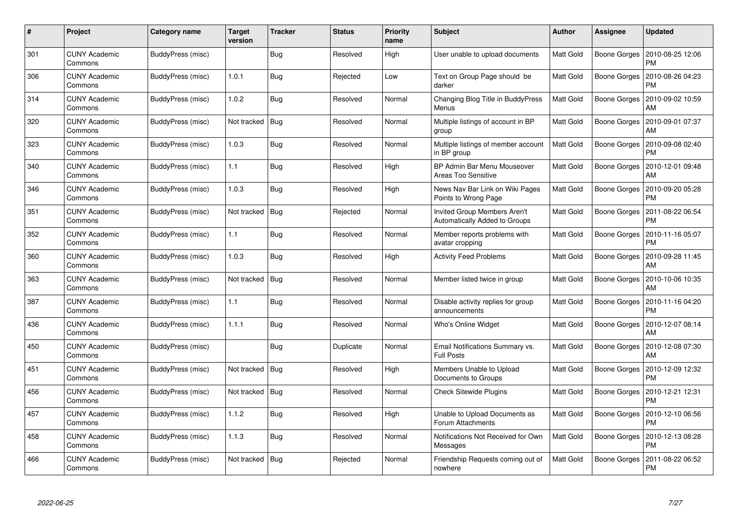| #   | Project                         | <b>Category name</b> | Target<br>version | <b>Tracker</b> | <b>Status</b> | <b>Priority</b><br>name | <b>Subject</b>                                                       | <b>Author</b>    | Assignee     | <b>Updated</b>                |
|-----|---------------------------------|----------------------|-------------------|----------------|---------------|-------------------------|----------------------------------------------------------------------|------------------|--------------|-------------------------------|
| 301 | <b>CUNY Academic</b><br>Commons | BuddyPress (misc)    |                   | Bug            | Resolved      | High                    | User unable to upload documents                                      | Matt Gold        | Boone Gorges | 2010-08-25 12:06<br>PM        |
| 306 | <b>CUNY Academic</b><br>Commons | BuddyPress (misc)    | 1.0.1             | Bug            | Rejected      | Low                     | Text on Group Page should be<br>darker                               | Matt Gold        | Boone Gorges | 2010-08-26 04:23<br><b>PM</b> |
| 314 | <b>CUNY Academic</b><br>Commons | BuddyPress (misc)    | 1.0.2             | Bug            | Resolved      | Normal                  | Changing Blog Title in BuddyPress<br>Menus                           | Matt Gold        | Boone Gorges | 2010-09-02 10:59<br>AM        |
| 320 | <b>CUNY Academic</b><br>Commons | BuddyPress (misc)    | Not tracked       | Bug            | Resolved      | Normal                  | Multiple listings of account in BP<br>group                          | Matt Gold        | Boone Gorges | 2010-09-01 07:37<br>AM        |
| 323 | <b>CUNY Academic</b><br>Commons | BuddyPress (misc)    | 1.0.3             | Bug            | Resolved      | Normal                  | Multiple listings of member account<br>in BP group                   | <b>Matt Gold</b> | Boone Gorges | 2010-09-08 02:40<br><b>PM</b> |
| 340 | <b>CUNY Academic</b><br>Commons | BuddyPress (misc)    | 1.1               | Bug            | Resolved      | High                    | BP Admin Bar Menu Mouseover<br><b>Areas Too Sensitive</b>            | Matt Gold        | Boone Gorges | 2010-12-01 09:48<br>AM        |
| 346 | <b>CUNY Academic</b><br>Commons | BuddyPress (misc)    | 1.0.3             | Bug            | Resolved      | High                    | News Nav Bar Link on Wiki Pages<br>Points to Wrong Page              | Matt Gold        | Boone Gorges | 2010-09-20 05:28<br><b>PM</b> |
| 351 | <b>CUNY Academic</b><br>Commons | BuddyPress (misc)    | Not tracked       | Bug            | Rejected      | Normal                  | <b>Invited Group Members Aren't</b><br>Automatically Added to Groups | Matt Gold        | Boone Gorges | 2011-08-22 06:54<br><b>PM</b> |
| 352 | <b>CUNY Academic</b><br>Commons | BuddyPress (misc)    | 1.1               | Bug            | Resolved      | Normal                  | Member reports problems with<br>avatar cropping                      | Matt Gold        | Boone Gorges | 2010-11-16 05:07<br><b>PM</b> |
| 360 | <b>CUNY Academic</b><br>Commons | BuddyPress (misc)    | 1.0.3             | Bug            | Resolved      | High                    | <b>Activity Feed Problems</b>                                        | <b>Matt Gold</b> | Boone Gorges | 2010-09-28 11:45<br>AM        |
| 363 | <b>CUNY Academic</b><br>Commons | BuddyPress (misc)    | Not tracked       | Bug            | Resolved      | Normal                  | Member listed twice in group                                         | Matt Gold        | Boone Gorges | 2010-10-06 10:35<br>AM        |
| 387 | <b>CUNY Academic</b><br>Commons | BuddyPress (misc)    | 1.1               | Bug            | Resolved      | Normal                  | Disable activity replies for group<br>announcements                  | Matt Gold        | Boone Gorges | 2010-11-16 04:20<br><b>PM</b> |
| 436 | <b>CUNY Academic</b><br>Commons | BuddyPress (misc)    | 1.1.1             | <b>Bug</b>     | Resolved      | Normal                  | Who's Online Widget                                                  | <b>Matt Gold</b> | Boone Gorges | 2010-12-07 08:14<br>AM        |
| 450 | <b>CUNY Academic</b><br>Commons | BuddyPress (misc)    |                   | Bug            | Duplicate     | Normal                  | Email Notifications Summary vs.<br><b>Full Posts</b>                 | <b>Matt Gold</b> | Boone Gorges | 2010-12-08 07:30<br>AM        |
| 451 | <b>CUNY Academic</b><br>Commons | BuddyPress (misc)    | Not tracked       | Bug            | Resolved      | High                    | Members Unable to Upload<br>Documents to Groups                      | Matt Gold        | Boone Gorges | 2010-12-09 12:32<br><b>PM</b> |
| 456 | <b>CUNY Academic</b><br>Commons | BuddyPress (misc)    | Not tracked   Bug |                | Resolved      | Normal                  | <b>Check Sitewide Plugins</b>                                        | Matt Gold        | Boone Gorges | 2010-12-21 12:31<br>PM        |
| 457 | <b>CUNY Academic</b><br>Commons | BuddyPress (misc)    | 1.1.2             | Bug            | Resolved      | High                    | Unable to Upload Documents as<br>Forum Attachments                   | <b>Matt Gold</b> | Boone Gorges | 2010-12-10 06:56<br><b>PM</b> |
| 458 | <b>CUNY Academic</b><br>Commons | BuddyPress (misc)    | 1.1.3             | Bug            | Resolved      | Normal                  | Notifications Not Received for Own<br>Messages                       | Matt Gold        | Boone Gorges | 2010-12-13 08:28<br><b>PM</b> |
| 466 | <b>CUNY Academic</b><br>Commons | BuddyPress (misc)    | Not tracked       | Bug            | Rejected      | Normal                  | Friendship Requests coming out of<br>nowhere                         | <b>Matt Gold</b> | Boone Gorges | 2011-08-22 06:52<br><b>PM</b> |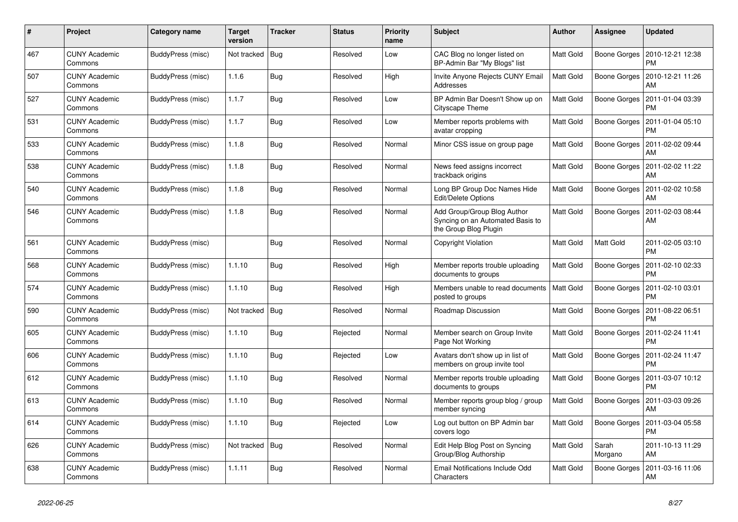| #   | Project                         | Category name            | <b>Target</b><br>version | <b>Tracker</b> | <b>Status</b> | Priority<br>name | <b>Subject</b>                                                                           | <b>Author</b> | Assignee         | <b>Updated</b>                |
|-----|---------------------------------|--------------------------|--------------------------|----------------|---------------|------------------|------------------------------------------------------------------------------------------|---------------|------------------|-------------------------------|
| 467 | <b>CUNY Academic</b><br>Commons | BuddyPress (misc)        | Not tracked              | Bug            | Resolved      | Low              | CAC Blog no longer listed on<br>BP-Admin Bar "My Blogs" list                             | Matt Gold     | Boone Gorges     | 2010-12-21 12:38<br><b>PM</b> |
| 507 | <b>CUNY Academic</b><br>Commons | BuddyPress (misc)        | 1.1.6                    | <b>Bug</b>     | Resolved      | High             | Invite Anyone Rejects CUNY Email<br>Addresses                                            | Matt Gold     | Boone Gorges     | 2010-12-21 11:26<br>AM        |
| 527 | <b>CUNY Academic</b><br>Commons | BuddyPress (misc)        | 1.1.7                    | Bug            | Resolved      | Low              | BP Admin Bar Doesn't Show up on<br>Cityscape Theme                                       | Matt Gold     | Boone Gorges     | 2011-01-04 03:39<br><b>PM</b> |
| 531 | <b>CUNY Academic</b><br>Commons | BuddyPress (misc)        | 1.1.7                    | <b>Bug</b>     | Resolved      | Low              | Member reports problems with<br>avatar cropping                                          | Matt Gold     | Boone Gorges     | 2011-01-04 05:10<br><b>PM</b> |
| 533 | <b>CUNY Academic</b><br>Commons | <b>BuddyPress (misc)</b> | 1.1.8                    | Bug            | Resolved      | Normal           | Minor CSS issue on group page                                                            | Matt Gold     | Boone Gorges     | 2011-02-02 09:44<br>AM        |
| 538 | <b>CUNY Academic</b><br>Commons | BuddyPress (misc)        | 1.1.8                    | <b>Bug</b>     | Resolved      | Normal           | News feed assigns incorrect<br>trackback origins                                         | Matt Gold     | Boone Gorges     | 2011-02-02 11:22<br>AM        |
| 540 | <b>CUNY Academic</b><br>Commons | BuddyPress (misc)        | 1.1.8                    | Bug            | Resolved      | Normal           | Long BP Group Doc Names Hide<br>Edit/Delete Options                                      | Matt Gold     | Boone Gorges     | 2011-02-02 10:58<br>AM        |
| 546 | <b>CUNY Academic</b><br>Commons | BuddyPress (misc)        | 1.1.8                    | Bug            | Resolved      | Normal           | Add Group/Group Blog Author<br>Syncing on an Automated Basis to<br>the Group Blog Plugin | Matt Gold     | Boone Gorges     | 2011-02-03 08:44<br>AM        |
| 561 | <b>CUNY Academic</b><br>Commons | BuddyPress (misc)        |                          | Bug            | Resolved      | Normal           | Copyright Violation                                                                      | Matt Gold     | Matt Gold        | 2011-02-05 03:10<br><b>PM</b> |
| 568 | <b>CUNY Academic</b><br>Commons | BuddyPress (misc)        | 1.1.10                   | Bug            | Resolved      | High             | Member reports trouble uploading<br>documents to groups                                  | Matt Gold     | Boone Gorges     | 2011-02-10 02:33<br><b>PM</b> |
| 574 | <b>CUNY Academic</b><br>Commons | BuddyPress (misc)        | 1.1.10                   | Bug            | Resolved      | High             | Members unable to read documents<br>posted to groups                                     | Matt Gold     | Boone Gorges     | 2011-02-10 03:01<br><b>PM</b> |
| 590 | <b>CUNY Academic</b><br>Commons | BuddyPress (misc)        | Not tracked              | Bug            | Resolved      | Normal           | Roadmap Discussion                                                                       | Matt Gold     | Boone Gorges     | 2011-08-22 06:51<br><b>PM</b> |
| 605 | <b>CUNY Academic</b><br>Commons | BuddyPress (misc)        | 1.1.10                   | Bug            | Rejected      | Normal           | Member search on Group Invite<br>Page Not Working                                        | Matt Gold     | Boone Gorges     | 2011-02-24 11:41<br><b>PM</b> |
| 606 | <b>CUNY Academic</b><br>Commons | BuddyPress (misc)        | 1.1.10                   | <b>Bug</b>     | Rejected      | Low              | Avatars don't show up in list of<br>members on group invite tool                         | Matt Gold     | Boone Gorges     | 2011-02-24 11:47<br><b>PM</b> |
| 612 | <b>CUNY Academic</b><br>Commons | BuddyPress (misc)        | 1.1.10                   | <b>Bug</b>     | Resolved      | Normal           | Member reports trouble uploading<br>documents to groups                                  | Matt Gold     | Boone Gorges     | 2011-03-07 10:12<br><b>PM</b> |
| 613 | <b>CUNY Academic</b><br>Commons | BuddyPress (misc)        | 1.1.10                   | Bug            | Resolved      | Normal           | Member reports group blog / group<br>member syncing                                      | Matt Gold     | Boone Gorges     | 2011-03-03 09:26<br>AM        |
| 614 | <b>CUNY Academic</b><br>Commons | BuddyPress (misc)        | 1.1.10                   | Bug            | Rejected      | Low              | Log out button on BP Admin bar<br>covers logo                                            | Matt Gold     | Boone Gorges     | 2011-03-04 05:58<br><b>PM</b> |
| 626 | <b>CUNY Academic</b><br>Commons | BuddyPress (misc)        | Not tracked              | Bug            | Resolved      | Normal           | Edit Help Blog Post on Syncing<br>Group/Blog Authorship                                  | Matt Gold     | Sarah<br>Morgano | 2011-10-13 11:29<br>AM        |
| 638 | <b>CUNY Academic</b><br>Commons | BuddyPress (misc)        | 1.1.11                   | Bug            | Resolved      | Normal           | Email Notifications Include Odd<br>Characters                                            | Matt Gold     | Boone Gorges     | 2011-03-16 11:06<br>AM        |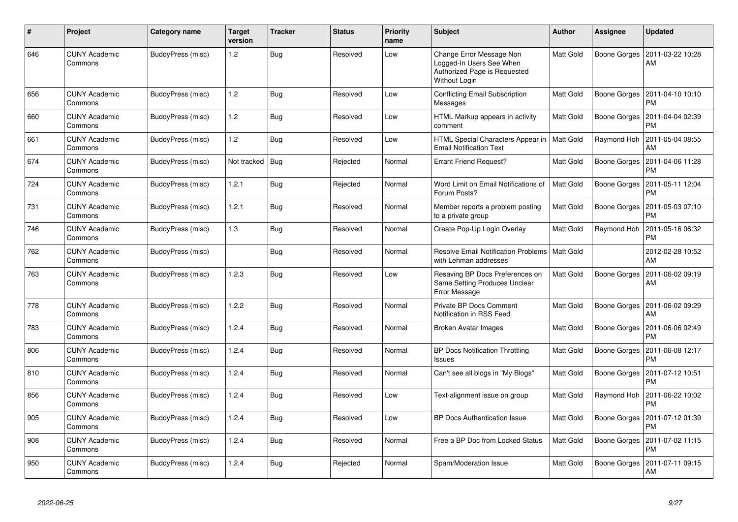| $\#$ | Project                         | Category name     | Target<br>version | <b>Tracker</b> | <b>Status</b> | <b>Priority</b><br>name | <b>Subject</b>                                                                                        | Author           | Assignee     | <b>Updated</b>                |
|------|---------------------------------|-------------------|-------------------|----------------|---------------|-------------------------|-------------------------------------------------------------------------------------------------------|------------------|--------------|-------------------------------|
| 646  | <b>CUNY Academic</b><br>Commons | BuddyPress (misc) | 1.2               | <b>Bug</b>     | Resolved      | Low                     | Change Error Message Non<br>Logged-In Users See When<br>Authorized Page is Requested<br>Without Login | Matt Gold        | Boone Gorges | 2011-03-22 10:28<br>AM        |
| 656  | <b>CUNY Academic</b><br>Commons | BuddyPress (misc) | 1.2               | Bug            | Resolved      | Low                     | <b>Conflicting Email Subscription</b><br>Messages                                                     | Matt Gold        | Boone Gorges | 2011-04-10 10:10<br><b>PM</b> |
| 660  | <b>CUNY Academic</b><br>Commons | BuddyPress (misc) | 1.2               | <b>Bug</b>     | Resolved      | Low                     | HTML Markup appears in activity<br>comment                                                            | Matt Gold        | Boone Gorges | 2011-04-04 02:39<br><b>PM</b> |
| 661  | <b>CUNY Academic</b><br>Commons | BuddyPress (misc) | 1.2               | <b>Bug</b>     | Resolved      | Low                     | HTML Special Characters Appear in<br><b>Email Notification Text</b>                                   | <b>Matt Gold</b> | Raymond Hoh  | 2011-05-04 08:55<br>AM        |
| 674  | <b>CUNY Academic</b><br>Commons | BuddyPress (misc) | Not tracked       | Bug            | Rejected      | Normal                  | <b>Errant Friend Request?</b>                                                                         | Matt Gold        | Boone Gorges | 2011-04-06 11:28<br><b>PM</b> |
| 724  | <b>CUNY Academic</b><br>Commons | BuddyPress (misc) | 1.2.1             | <b>Bug</b>     | Rejected      | Normal                  | Word Limit on Email Notifications of<br>Forum Posts?                                                  | Matt Gold        | Boone Gorges | 2011-05-11 12:04<br><b>PM</b> |
| 731  | <b>CUNY Academic</b><br>Commons | BuddyPress (misc) | 1.2.1             | Bug            | Resolved      | Normal                  | Member reports a problem posting<br>to a private group                                                | Matt Gold        | Boone Gorges | 2011-05-03 07:10<br><b>PM</b> |
| 746  | <b>CUNY Academic</b><br>Commons | BuddyPress (misc) | 1.3               | Bug            | Resolved      | Normal                  | Create Pop-Up Login Overlay                                                                           | Matt Gold        | Raymond Hoh  | 2011-05-16 06:32<br><b>PM</b> |
| 762  | <b>CUNY Academic</b><br>Commons | BuddyPress (misc) |                   | Bug            | Resolved      | Normal                  | <b>Resolve Email Notification Problems</b><br>with Lehman addresses                                   | Matt Gold        |              | 2012-02-28 10:52<br>AM        |
| 763  | <b>CUNY Academic</b><br>Commons | BuddyPress (misc) | 1.2.3             | Bug            | Resolved      | Low                     | Resaving BP Docs Preferences on<br>Same Setting Produces Unclear<br>Error Message                     | Matt Gold        | Boone Gorges | 2011-06-02 09:19<br>AM        |
| 778  | <b>CUNY Academic</b><br>Commons | BuddyPress (misc) | 1.2.2             | <b>Bug</b>     | Resolved      | Normal                  | Private BP Docs Comment<br>Notification in RSS Feed                                                   | Matt Gold        | Boone Gorges | 2011-06-02 09:29<br>AM        |
| 783  | <b>CUNY Academic</b><br>Commons | BuddyPress (misc) | 1.2.4             | Bug            | Resolved      | Normal                  | <b>Broken Avatar Images</b>                                                                           | Matt Gold        | Boone Gorges | 2011-06-06 02:49<br><b>PM</b> |
| 806  | <b>CUNY Academic</b><br>Commons | BuddyPress (misc) | 1.2.4             | <b>Bug</b>     | Resolved      | Normal                  | <b>BP Docs Notification Throttling</b><br><b>Issues</b>                                               | Matt Gold        | Boone Gorges | 2011-06-08 12:17<br><b>PM</b> |
| 810  | <b>CUNY Academic</b><br>Commons | BuddyPress (misc) | 1.2.4             | Bug            | Resolved      | Normal                  | Can't see all blogs in "My Blogs"                                                                     | Matt Gold        | Boone Gorges | 2011-07-12 10:51<br><b>PM</b> |
| 856  | <b>CUNY Academic</b><br>Commons | BuddyPress (misc) | 1.2.4             | Bug            | Resolved      | Low                     | Text-alignment issue on group                                                                         | Matt Gold        | Raymond Hoh  | 2011-06-22 10:02<br><b>PM</b> |
| 905  | <b>CUNY Academic</b><br>Commons | BuddyPress (misc) | 1.2.4             | <b>Bug</b>     | Resolved      | Low                     | <b>BP Docs Authentication Issue</b>                                                                   | Matt Gold        | Boone Gorges | 2011-07-12 01:39<br><b>PM</b> |
| 908  | <b>CUNY Academic</b><br>Commons | BuddyPress (misc) | 1.2.4             | <b>Bug</b>     | Resolved      | Normal                  | Free a BP Doc from Locked Status                                                                      | Matt Gold        | Boone Gorges | 2011-07-02 11:15<br><b>PM</b> |
| 950  | <b>CUNY Academic</b><br>Commons | BuddyPress (misc) | 1.2.4             | <b>Bug</b>     | Rejected      | Normal                  | Spam/Moderation Issue                                                                                 | Matt Gold        | Boone Gorges | 2011-07-11 09:15<br>AM        |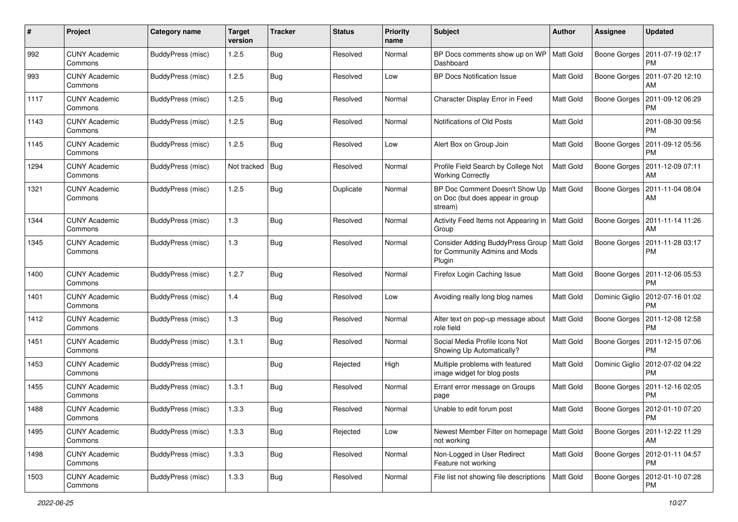| #    | Project                         | <b>Category name</b>     | <b>Target</b><br>version | <b>Tracker</b> | <b>Status</b> | <b>Priority</b><br>name | <b>Subject</b>                                                                          | Author           | <b>Assignee</b> | <b>Updated</b>                               |
|------|---------------------------------|--------------------------|--------------------------|----------------|---------------|-------------------------|-----------------------------------------------------------------------------------------|------------------|-----------------|----------------------------------------------|
| 992  | <b>CUNY Academic</b><br>Commons | <b>BuddyPress (misc)</b> | 1.2.5                    | Bug            | Resolved      | Normal                  | BP Docs comments show up on WP<br>Dashboard                                             | Matt Gold        | Boone Gorges    | 2011-07-19 02:17<br><b>PM</b>                |
| 993  | <b>CUNY Academic</b><br>Commons | BuddyPress (misc)        | 1.2.5                    | <b>Bug</b>     | Resolved      | Low                     | <b>BP Docs Notification Issue</b>                                                       | Matt Gold        | Boone Gorges    | 2011-07-20 12:10<br>AM                       |
| 1117 | CUNY Academic<br>Commons        | BuddyPress (misc)        | 1.2.5                    | <b>Bug</b>     | Resolved      | Normal                  | Character Display Error in Feed                                                         | Matt Gold        | Boone Gorges    | 2011-09-12 06:29<br><b>PM</b>                |
| 1143 | <b>CUNY Academic</b><br>Commons | BuddyPress (misc)        | 1.2.5                    | <b>Bug</b>     | Resolved      | Normal                  | Notifications of Old Posts                                                              | <b>Matt Gold</b> |                 | 2011-08-30 09:56<br><b>PM</b>                |
| 1145 | <b>CUNY Academic</b><br>Commons | BuddyPress (misc)        | 1.2.5                    | Bug            | Resolved      | Low                     | Alert Box on Group Join                                                                 | <b>Matt Gold</b> | Boone Gorges    | 2011-09-12 05:56<br><b>PM</b>                |
| 1294 | <b>CUNY Academic</b><br>Commons | BuddyPress (misc)        | Not tracked              | Bug            | Resolved      | Normal                  | Profile Field Search by College Not<br><b>Working Correctly</b>                         | Matt Gold        | Boone Gorges    | 2011-12-09 07:11<br>AM                       |
| 1321 | <b>CUNY Academic</b><br>Commons | BuddyPress (misc)        | 1.2.5                    | <b>Bug</b>     | Duplicate     | Normal                  | BP Doc Comment Doesn't Show Up<br>on Doc (but does appear in group<br>stream)           | Matt Gold        | Boone Gorges    | 2011-11-04 08:04<br>AM                       |
| 1344 | <b>CUNY Academic</b><br>Commons | BuddyPress (misc)        | 1.3                      | <b>Bug</b>     | Resolved      | Normal                  | Activity Feed Items not Appearing in<br>Group                                           | <b>Matt Gold</b> | Boone Gorges    | 2011-11-14 11:26<br>AM                       |
| 1345 | <b>CUNY Academic</b><br>Commons | <b>BuddyPress</b> (misc) | 1.3                      | <b>Bug</b>     | Resolved      | Normal                  | Consider Adding BuddyPress Group   Matt Gold<br>for Community Admins and Mods<br>Plugin |                  | Boone Gorges    | 2011-11-28 03:17<br><b>PM</b>                |
| 1400 | <b>CUNY Academic</b><br>Commons | <b>BuddyPress (misc)</b> | 1.2.7                    | Bug            | Resolved      | Normal                  | Firefox Login Caching Issue                                                             | Matt Gold        | Boone Gorges    | 2011-12-06 05:53<br><b>PM</b>                |
| 1401 | <b>CUNY Academic</b><br>Commons | <b>BuddyPress (misc)</b> | 1.4                      | <b>Bug</b>     | Resolved      | Low                     | Avoiding really long blog names                                                         | Matt Gold        | Dominic Giglio  | 2012-07-16 01:02<br><b>PM</b>                |
| 1412 | <b>CUNY Academic</b><br>Commons | BuddyPress (misc)        | 1.3                      | Bug            | Resolved      | Normal                  | Alter text on pop-up message about<br>role field                                        | Matt Gold        | Boone Gorges    | 2011-12-08 12:58<br><b>PM</b>                |
| 1451 | <b>CUNY Academic</b><br>Commons | BuddyPress (misc)        | 1.3.1                    | <b>Bug</b>     | Resolved      | Normal                  | Social Media Profile Icons Not<br>Showing Up Automatically?                             | Matt Gold        | Boone Gorges    | 2011-12-15 07:06<br><b>PM</b>                |
| 1453 | <b>CUNY Academic</b><br>Commons | BuddyPress (misc)        |                          | Bug            | Rejected      | High                    | Multiple problems with featured<br>image widget for blog posts                          | Matt Gold        | Dominic Giglio  | 2012-07-02 04:22<br><b>PM</b>                |
| 1455 | <b>CUNY Academic</b><br>Commons | BuddyPress (misc)        | 1.3.1                    | <b>Bug</b>     | Resolved      | Normal                  | Errant error message on Groups<br>page                                                  | Matt Gold        | Boone Gorges    | 2011-12-16 02:05<br><b>PM</b>                |
| 1488 | <b>CUNY Academic</b><br>Commons | <b>BuddyPress (misc)</b> | 1.3.3                    | Bug            | Resolved      | Normal                  | Unable to edit forum post                                                               | Matt Gold        | Boone Gorges    | 2012-01-10 07:20<br>PM                       |
| 1495 | <b>CUNY Academic</b><br>Commons | BuddyPress (misc)        | 1.3.3                    | Bug            | Rejected      | Low                     | Newest Member Filter on homepage   Matt Gold<br>not working                             |                  |                 | Boone Gorges   2011-12-22 11:29<br>AM        |
| 1498 | <b>CUNY Academic</b><br>Commons | BuddyPress (misc)        | 1.3.3                    | Bug            | Resolved      | Normal                  | Non-Logged in User Redirect<br>Feature not working                                      | Matt Gold        |                 | Boone Gorges   2012-01-11 04:57<br><b>PM</b> |
| 1503 | <b>CUNY Academic</b><br>Commons | BuddyPress (misc)        | 1.3.3                    | Bug            | Resolved      | Normal                  | File list not showing file descriptions                                                 | Matt Gold        |                 | Boone Gorges   2012-01-10 07:28<br><b>PM</b> |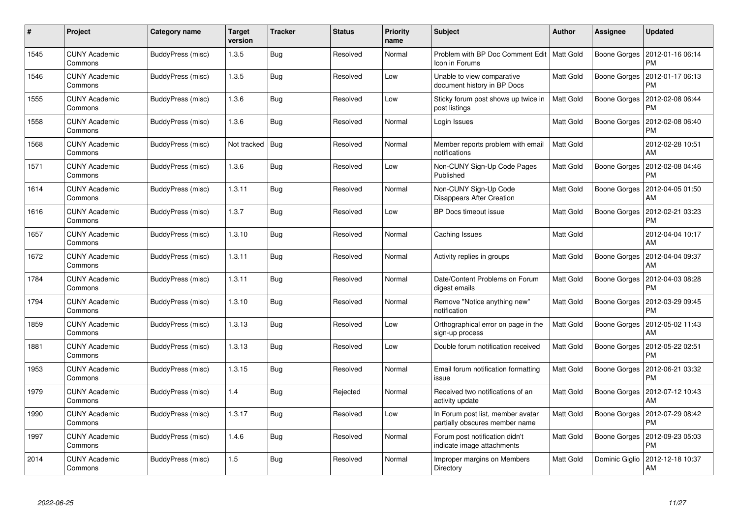| #    | Project                         | Category name     | <b>Target</b><br>version | <b>Tracker</b> | <b>Status</b> | <b>Priority</b><br>name | <b>Subject</b>                                                      | <b>Author</b> | Assignee       | <b>Updated</b>                        |
|------|---------------------------------|-------------------|--------------------------|----------------|---------------|-------------------------|---------------------------------------------------------------------|---------------|----------------|---------------------------------------|
| 1545 | <b>CUNY Academic</b><br>Commons | BuddyPress (misc) | 1.3.5                    | Bug            | Resolved      | Normal                  | Problem with BP Doc Comment Edit   Matt Gold<br>Icon in Forums      |               | Boone Gorges   | 2012-01-16 06:14<br><b>PM</b>         |
| 1546 | <b>CUNY Academic</b><br>Commons | BuddyPress (misc) | 1.3.5                    | <b>Bug</b>     | Resolved      | Low                     | Unable to view comparative<br>document history in BP Docs           | Matt Gold     | Boone Gorges   | 2012-01-17 06:13<br><b>PM</b>         |
| 1555 | <b>CUNY Academic</b><br>Commons | BuddyPress (misc) | 1.3.6                    | Bug            | Resolved      | Low                     | Sticky forum post shows up twice in<br>post listings                | Matt Gold     | Boone Gorges   | 2012-02-08 06:44<br><b>PM</b>         |
| 1558 | <b>CUNY Academic</b><br>Commons | BuddyPress (misc) | 1.3.6                    | Bug            | Resolved      | Normal                  | Login Issues                                                        | Matt Gold     | Boone Gorges   | 2012-02-08 06:40<br><b>PM</b>         |
| 1568 | <b>CUNY Academic</b><br>Commons | BuddyPress (misc) | Not tracked              | Bug            | Resolved      | Normal                  | Member reports problem with email<br>notifications                  | Matt Gold     |                | 2012-02-28 10:51<br>AM                |
| 1571 | <b>CUNY Academic</b><br>Commons | BuddyPress (misc) | 1.3.6                    | Bug            | Resolved      | Low                     | Non-CUNY Sign-Up Code Pages<br>Published                            | Matt Gold     | Boone Gorges   | 2012-02-08 04:46<br><b>PM</b>         |
| 1614 | <b>CUNY Academic</b><br>Commons | BuddyPress (misc) | 1.3.11                   | Bug            | Resolved      | Normal                  | Non-CUNY Sign-Up Code<br>Disappears After Creation                  | Matt Gold     | Boone Gorges   | 2012-04-05 01:50<br>AM                |
| 1616 | <b>CUNY Academic</b><br>Commons | BuddyPress (misc) | 1.3.7                    | <b>Bug</b>     | Resolved      | Low                     | <b>BP Docs timeout issue</b>                                        | Matt Gold     | Boone Gorges   | 2012-02-21 03:23<br><b>PM</b>         |
| 1657 | <b>CUNY Academic</b><br>Commons | BuddyPress (misc) | 1.3.10                   | <b>Bug</b>     | Resolved      | Normal                  | Caching Issues                                                      | Matt Gold     |                | 2012-04-04 10:17<br>AM                |
| 1672 | <b>CUNY Academic</b><br>Commons | BuddyPress (misc) | 1.3.11                   | <b>Bug</b>     | Resolved      | Normal                  | Activity replies in groups                                          | Matt Gold     | Boone Gorges   | 2012-04-04 09:37<br>AM                |
| 1784 | <b>CUNY Academic</b><br>Commons | BuddyPress (misc) | 1.3.11                   | Bug            | Resolved      | Normal                  | Date/Content Problems on Forum<br>digest emails                     | Matt Gold     | Boone Gorges   | 2012-04-03 08:28<br><b>PM</b>         |
| 1794 | <b>CUNY Academic</b><br>Commons | BuddyPress (misc) | 1.3.10                   | Bug            | Resolved      | Normal                  | Remove "Notice anything new"<br>notification                        | Matt Gold     | Boone Gorges   | 2012-03-29 09:45<br><b>PM</b>         |
| 1859 | <b>CUNY Academic</b><br>Commons | BuddyPress (misc) | 1.3.13                   | Bug            | Resolved      | Low                     | Orthographical error on page in the<br>sign-up process              | Matt Gold     | Boone Gorges   | 2012-05-02 11:43<br>AM                |
| 1881 | <b>CUNY Academic</b><br>Commons | BuddyPress (misc) | 1.3.13                   | Bug            | Resolved      | Low                     | Double forum notification received                                  | Matt Gold     | Boone Gorges   | 2012-05-22 02:51<br><b>PM</b>         |
| 1953 | <b>CUNY Academic</b><br>Commons | BuddyPress (misc) | 1.3.15                   | <b>Bug</b>     | Resolved      | Normal                  | Email forum notification formatting<br>issue                        | Matt Gold     | Boone Gorges   | 2012-06-21 03:32<br><b>PM</b>         |
| 1979 | <b>CUNY Academic</b><br>Commons | BuddyPress (misc) | 1.4                      | Bug            | Rejected      | Normal                  | Received two notifications of an<br>activity update                 | Matt Gold     |                | Boone Gorges   2012-07-12 10:43<br>AM |
| 1990 | <b>CUNY Academic</b><br>Commons | BuddyPress (misc) | 1.3.17                   | Bug            | Resolved      | Low                     | In Forum post list, member avatar<br>partially obscures member name | Matt Gold     | Boone Gorges   | 2012-07-29 08:42<br>PM                |
| 1997 | <b>CUNY Academic</b><br>Commons | BuddyPress (misc) | 1.4.6                    | Bug            | Resolved      | Normal                  | Forum post notification didn't<br>indicate image attachments        | Matt Gold     | Boone Gorges   | 2012-09-23 05:03<br><b>PM</b>         |
| 2014 | CUNY Academic<br>Commons        | BuddyPress (misc) | 1.5                      | Bug            | Resolved      | Normal                  | Improper margins on Members<br>Directory                            | Matt Gold     | Dominic Giglio | 2012-12-18 10:37<br>AM                |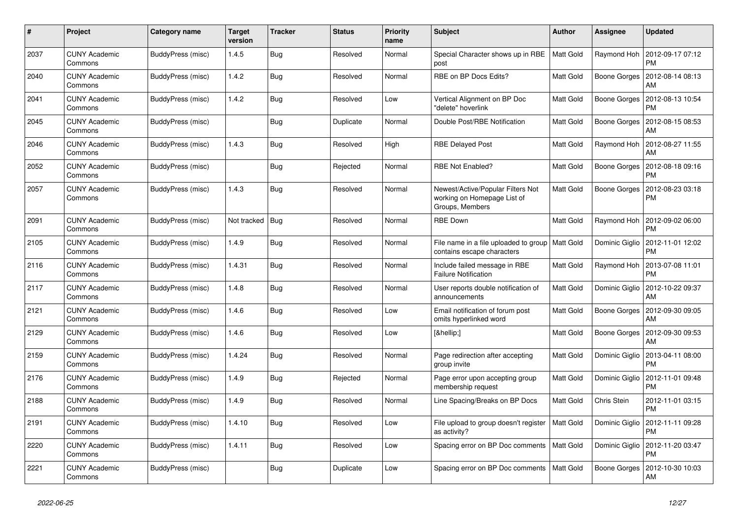| #    | Project                         | Category name     | <b>Target</b><br>version | <b>Tracker</b> | <b>Status</b> | <b>Priority</b><br>name | <b>Subject</b>                                                                      | <b>Author</b> | <b>Assignee</b> | <b>Updated</b>                            |
|------|---------------------------------|-------------------|--------------------------|----------------|---------------|-------------------------|-------------------------------------------------------------------------------------|---------------|-----------------|-------------------------------------------|
| 2037 | <b>CUNY Academic</b><br>Commons | BuddyPress (misc) | 1.4.5                    | <b>Bug</b>     | Resolved      | Normal                  | Special Character shows up in RBE<br>post                                           | Matt Gold     |                 | Raymond Hoh 2012-09-17 07:12<br><b>PM</b> |
| 2040 | <b>CUNY Academic</b><br>Commons | BuddyPress (misc) | 1.4.2                    | Bug            | Resolved      | Normal                  | RBE on BP Docs Edits?                                                               | Matt Gold     | Boone Gorges    | 2012-08-14 08:13<br>AM                    |
| 2041 | <b>CUNY Academic</b><br>Commons | BuddyPress (misc) | 1.4.2                    | <b>Bug</b>     | Resolved      | Low                     | Vertical Alignment on BP Doc<br>"delete" hoverlink                                  | Matt Gold     | Boone Gorges    | 2012-08-13 10:54<br><b>PM</b>             |
| 2045 | <b>CUNY Academic</b><br>Commons | BuddyPress (misc) |                          | <b>Bug</b>     | Duplicate     | Normal                  | Double Post/RBE Notification                                                        | Matt Gold     | Boone Gorges    | 2012-08-15 08:53<br>AM                    |
| 2046 | <b>CUNY Academic</b><br>Commons | BuddyPress (misc) | 1.4.3                    | Bug            | Resolved      | High                    | <b>RBE Delayed Post</b>                                                             | Matt Gold     | Raymond Hoh     | 2012-08-27 11:55<br>AM                    |
| 2052 | <b>CUNY Academic</b><br>Commons | BuddyPress (misc) |                          | <b>Bug</b>     | Rejected      | Normal                  | <b>RBE Not Enabled?</b>                                                             | Matt Gold     | Boone Gorges    | 2012-08-18 09:16<br><b>PM</b>             |
| 2057 | <b>CUNY Academic</b><br>Commons | BuddyPress (misc) | 1.4.3                    | Bug            | Resolved      | Normal                  | Newest/Active/Popular Filters Not<br>working on Homepage List of<br>Groups, Members | Matt Gold     | Boone Gorges    | 2012-08-23 03:18<br><b>PM</b>             |
| 2091 | <b>CUNY Academic</b><br>Commons | BuddyPress (misc) | Not tracked              | Bug            | Resolved      | Normal                  | <b>RBE Down</b>                                                                     | Matt Gold     | Raymond Hoh     | 2012-09-02 06:00<br><b>PM</b>             |
| 2105 | <b>CUNY Academic</b><br>Commons | BuddyPress (misc) | 1.4.9                    | <b>Bug</b>     | Resolved      | Normal                  | File name in a file uploaded to group   Matt Gold<br>contains escape characters     |               | Dominic Giglio  | 2012-11-01 12:02<br><b>PM</b>             |
| 2116 | <b>CUNY Academic</b><br>Commons | BuddyPress (misc) | 1.4.31                   | <b>Bug</b>     | Resolved      | Normal                  | Include failed message in RBE<br><b>Failure Notification</b>                        | Matt Gold     | Raymond Hoh     | 2013-07-08 11:01<br><b>PM</b>             |
| 2117 | <b>CUNY Academic</b><br>Commons | BuddyPress (misc) | 1.4.8                    | Bug            | Resolved      | Normal                  | User reports double notification of<br>announcements                                | Matt Gold     | Dominic Giglio  | 2012-10-22 09:37<br>AM                    |
| 2121 | <b>CUNY Academic</b><br>Commons | BuddyPress (misc) | 1.4.6                    | <b>Bug</b>     | Resolved      | Low                     | Email notification of forum post<br>omits hyperlinked word                          | Matt Gold     | Boone Gorges    | 2012-09-30 09:05<br>AM                    |
| 2129 | <b>CUNY Academic</b><br>Commons | BuddyPress (misc) | 1.4.6                    | <b>Bug</b>     | Resolved      | Low                     | […]                                                                                 | Matt Gold     | Boone Gorges    | 2012-09-30 09:53<br>AM                    |
| 2159 | <b>CUNY Academic</b><br>Commons | BuddyPress (misc) | 1.4.24                   | Bug            | Resolved      | Normal                  | Page redirection after accepting<br>group invite                                    | Matt Gold     | Dominic Giglio  | 2013-04-11 08:00<br><b>PM</b>             |
| 2176 | <b>CUNY Academic</b><br>Commons | BuddyPress (misc) | 1.4.9                    | <b>Bug</b>     | Rejected      | Normal                  | Page error upon accepting group<br>membership request                               | Matt Gold     | Dominic Giglio  | 2012-11-01 09:48<br><b>PM</b>             |
| 2188 | <b>CUNY Academic</b><br>Commons | BuddyPress (misc) | 1.4.9                    | <b>Bug</b>     | Resolved      | Normal                  | Line Spacing/Breaks on BP Docs                                                      | Matt Gold     | Chris Stein     | 2012-11-01 03:15<br><b>PM</b>             |
| 2191 | <b>CUNY Academic</b><br>Commons | BuddyPress (misc) | 1.4.10                   | <b>Bug</b>     | Resolved      | Low                     | File upload to group doesn't register<br>as activity?                               | Matt Gold     | Dominic Giglio  | 2012-11-11 09:28<br><b>PM</b>             |
| 2220 | <b>CUNY Academic</b><br>Commons | BuddyPress (misc) | 1.4.11                   | Bug            | Resolved      | Low                     | Spacing error on BP Doc comments                                                    | Matt Gold     | Dominic Giglio  | 2012-11-20 03:47<br><b>PM</b>             |
| 2221 | <b>CUNY Academic</b><br>Commons | BuddyPress (misc) |                          | Bug            | Duplicate     | Low                     | Spacing error on BP Doc comments                                                    | Matt Gold     | Boone Gorges    | 2012-10-30 10:03<br>AM                    |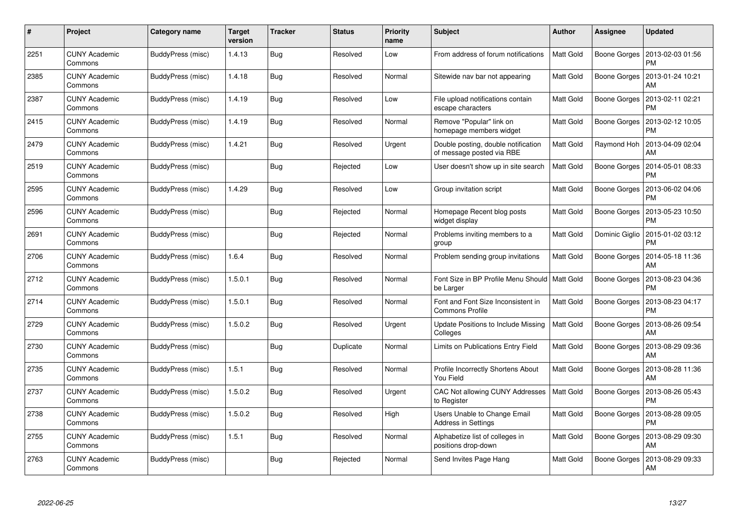| #    | Project                         | Category name     | <b>Target</b><br>version | <b>Tracker</b> | <b>Status</b> | <b>Priority</b><br>name | <b>Subject</b>                                                   | <b>Author</b>    | Assignee       | <b>Updated</b>                |
|------|---------------------------------|-------------------|--------------------------|----------------|---------------|-------------------------|------------------------------------------------------------------|------------------|----------------|-------------------------------|
| 2251 | <b>CUNY Academic</b><br>Commons | BuddyPress (misc) | 1.4.13                   | Bug            | Resolved      | Low                     | From address of forum notifications                              | Matt Gold        | Boone Gorges   | 2013-02-03 01:56<br><b>PM</b> |
| 2385 | <b>CUNY Academic</b><br>Commons | BuddyPress (misc) | 1.4.18                   | <b>Bug</b>     | Resolved      | Normal                  | Sitewide nav bar not appearing                                   | <b>Matt Gold</b> | Boone Gorges   | 2013-01-24 10:21<br>AM        |
| 2387 | <b>CUNY Academic</b><br>Commons | BuddyPress (misc) | 1.4.19                   | <b>Bug</b>     | Resolved      | Low                     | File upload notifications contain<br>escape characters           | Matt Gold        | Boone Gorges   | 2013-02-11 02:21<br><b>PM</b> |
| 2415 | <b>CUNY Academic</b><br>Commons | BuddyPress (misc) | 1.4.19                   | Bug            | Resolved      | Normal                  | Remove "Popular" link on<br>homepage members widget              | Matt Gold        | Boone Gorges   | 2013-02-12 10:05<br>PM        |
| 2479 | <b>CUNY Academic</b><br>Commons | BuddyPress (misc) | 1.4.21                   | <b>Bug</b>     | Resolved      | Urgent                  | Double posting, double notification<br>of message posted via RBE | Matt Gold        | Raymond Hoh    | 2013-04-09 02:04<br>AM        |
| 2519 | <b>CUNY Academic</b><br>Commons | BuddyPress (misc) |                          | <b>Bug</b>     | Rejected      | Low                     | User doesn't show up in site search                              | Matt Gold        | Boone Gorges   | 2014-05-01 08:33<br><b>PM</b> |
| 2595 | <b>CUNY Academic</b><br>Commons | BuddyPress (misc) | 1.4.29                   | Bug            | Resolved      | Low                     | Group invitation script                                          | Matt Gold        | Boone Gorges   | 2013-06-02 04:06<br><b>PM</b> |
| 2596 | <b>CUNY Academic</b><br>Commons | BuddyPress (misc) |                          | Bug            | Rejected      | Normal                  | Homepage Recent blog posts<br>widget display                     | Matt Gold        | Boone Gorges   | 2013-05-23 10:50<br><b>PM</b> |
| 2691 | <b>CUNY Academic</b><br>Commons | BuddyPress (misc) |                          | Bug            | Rejected      | Normal                  | Problems inviting members to a<br>group                          | Matt Gold        | Dominic Giglio | 2015-01-02 03:12<br><b>PM</b> |
| 2706 | <b>CUNY Academic</b><br>Commons | BuddyPress (misc) | 1.6.4                    | Bug            | Resolved      | Normal                  | Problem sending group invitations                                | Matt Gold        | Boone Gorges   | 2014-05-18 11:36<br>AM        |
| 2712 | <b>CUNY Academic</b><br>Commons | BuddyPress (misc) | 1.5.0.1                  | <b>Bug</b>     | Resolved      | Normal                  | Font Size in BP Profile Menu Should<br>be Larger                 | Matt Gold        | Boone Gorges   | 2013-08-23 04:36<br><b>PM</b> |
| 2714 | <b>CUNY Academic</b><br>Commons | BuddyPress (misc) | 1.5.0.1                  | Bug            | Resolved      | Normal                  | Font and Font Size Inconsistent in<br><b>Commons Profile</b>     | Matt Gold        | Boone Gorges   | 2013-08-23 04:17<br><b>PM</b> |
| 2729 | <b>CUNY Academic</b><br>Commons | BuddyPress (misc) | 1.5.0.2                  | Bug            | Resolved      | Urgent                  | Update Positions to Include Missing<br>Colleges                  | Matt Gold        | Boone Gorges   | 2013-08-26 09:54<br>AM        |
| 2730 | <b>CUNY Academic</b><br>Commons | BuddyPress (misc) |                          | Bug            | Duplicate     | Normal                  | Limits on Publications Entry Field                               | Matt Gold        | Boone Gorges   | 2013-08-29 09:36<br>AM        |
| 2735 | <b>CUNY Academic</b><br>Commons | BuddyPress (misc) | 1.5.1                    | Bug            | Resolved      | Normal                  | Profile Incorrectly Shortens About<br>You Field                  | Matt Gold        | Boone Gorges   | 2013-08-28 11:36<br>AM        |
| 2737 | <b>CUNY Academic</b><br>Commons | BuddyPress (misc) | 1.5.0.2                  | Bug            | Resolved      | Urgent                  | CAC Not allowing CUNY Addresses<br>to Register                   | Matt Gold        | Boone Gorges   | 2013-08-26 05:43<br><b>PM</b> |
| 2738 | <b>CUNY Academic</b><br>Commons | BuddyPress (misc) | 1.5.0.2                  | Bug            | Resolved      | High                    | Users Unable to Change Email<br>Address in Settings              | Matt Gold        | Boone Gorges   | 2013-08-28 09:05<br><b>PM</b> |
| 2755 | <b>CUNY Academic</b><br>Commons | BuddyPress (misc) | 1.5.1                    | <b>Bug</b>     | Resolved      | Normal                  | Alphabetize list of colleges in<br>positions drop-down           | Matt Gold        | Boone Gorges   | 2013-08-29 09:30<br>AM        |
| 2763 | CUNY Academic<br>Commons        | BuddyPress (misc) |                          | Bug            | Rejected      | Normal                  | Send Invites Page Hang                                           | Matt Gold        | Boone Gorges   | 2013-08-29 09:33<br>AM        |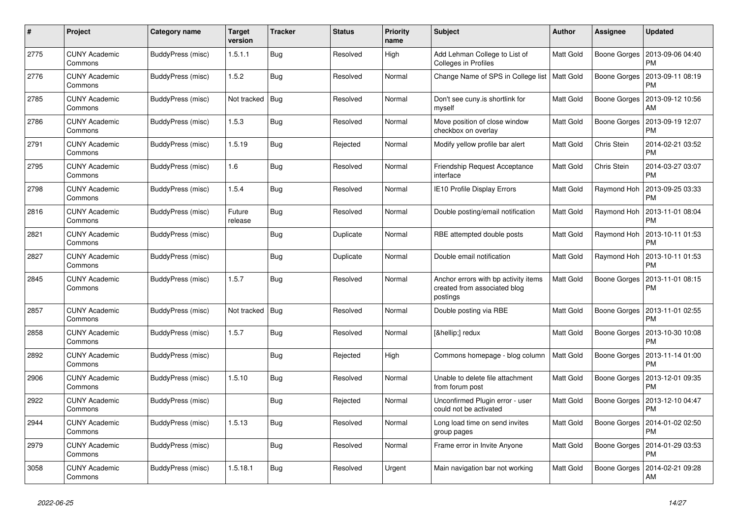| #    | Project                         | <b>Category name</b> | <b>Target</b><br>version | <b>Tracker</b> | <b>Status</b> | Priority<br>name | <b>Subject</b>                                                                   | <b>Author</b>    | <b>Assignee</b> | <b>Updated</b>                |
|------|---------------------------------|----------------------|--------------------------|----------------|---------------|------------------|----------------------------------------------------------------------------------|------------------|-----------------|-------------------------------|
| 2775 | <b>CUNY Academic</b><br>Commons | BuddyPress (misc)    | 1.5.1.1                  | Bug            | Resolved      | High             | Add Lehman College to List of<br>Colleges in Profiles                            | Matt Gold        | Boone Gorges    | 2013-09-06 04:40<br><b>PM</b> |
| 2776 | <b>CUNY Academic</b><br>Commons | BuddyPress (misc)    | 1.5.2                    | <b>Bug</b>     | Resolved      | Normal           | Change Name of SPS in College list   Matt Gold                                   |                  | Boone Gorges    | 2013-09-11 08:19<br><b>PM</b> |
| 2785 | <b>CUNY Academic</b><br>Commons | BuddyPress (misc)    | Not tracked              | Bug            | Resolved      | Normal           | Don't see cuny is shortlink for<br>myself                                        | Matt Gold        | Boone Gorges    | 2013-09-12 10:56<br>AM        |
| 2786 | <b>CUNY Academic</b><br>Commons | BuddyPress (misc)    | 1.5.3                    | <b>Bug</b>     | Resolved      | Normal           | Move position of close window<br>checkbox on overlay                             | Matt Gold        | Boone Gorges    | 2013-09-19 12:07<br><b>PM</b> |
| 2791 | <b>CUNY Academic</b><br>Commons | BuddyPress (misc)    | 1.5.19                   | Bug            | Rejected      | Normal           | Modify yellow profile bar alert                                                  | Matt Gold        | Chris Stein     | 2014-02-21 03:52<br><b>PM</b> |
| 2795 | <b>CUNY Academic</b><br>Commons | BuddyPress (misc)    | 1.6                      | Bug            | Resolved      | Normal           | Friendship Request Acceptance<br>interface                                       | Matt Gold        | Chris Stein     | 2014-03-27 03:07<br><b>PM</b> |
| 2798 | <b>CUNY Academic</b><br>Commons | BuddyPress (misc)    | 1.5.4                    | Bug            | Resolved      | Normal           | IE10 Profile Display Errors                                                      | Matt Gold        | Raymond Hoh     | 2013-09-25 03:33<br><b>PM</b> |
| 2816 | <b>CUNY Academic</b><br>Commons | BuddyPress (misc)    | Future<br>release        | <b>Bug</b>     | Resolved      | Normal           | Double posting/email notification                                                | Matt Gold        | Raymond Hoh     | 2013-11-01 08:04<br><b>PM</b> |
| 2821 | <b>CUNY Academic</b><br>Commons | BuddyPress (misc)    |                          | <b>Bug</b>     | Duplicate     | Normal           | RBE attempted double posts                                                       | Matt Gold        | Raymond Hoh     | 2013-10-11 01:53<br><b>PM</b> |
| 2827 | <b>CUNY Academic</b><br>Commons | BuddyPress (misc)    |                          | <b>Bug</b>     | Duplicate     | Normal           | Double email notification                                                        | Matt Gold        | Raymond Hoh     | 2013-10-11 01:53<br><b>PM</b> |
| 2845 | <b>CUNY Academic</b><br>Commons | BuddyPress (misc)    | 1.5.7                    | Bug            | Resolved      | Normal           | Anchor errors with bp activity items<br>created from associated blog<br>postings | Matt Gold        | Boone Gorges    | 2013-11-01 08:15<br><b>PM</b> |
| 2857 | <b>CUNY Academic</b><br>Commons | BuddyPress (misc)    | Not tracked              | Bug            | Resolved      | Normal           | Double posting via RBE                                                           | <b>Matt Gold</b> | Boone Gorges    | 2013-11-01 02:55<br><b>PM</b> |
| 2858 | <b>CUNY Academic</b><br>Commons | BuddyPress (misc)    | 1.5.7                    | Bug            | Resolved      | Normal           | […] redux                                                                        | Matt Gold        | Boone Gorges    | 2013-10-30 10:08<br><b>PM</b> |
| 2892 | <b>CUNY Academic</b><br>Commons | BuddyPress (misc)    |                          | <b>Bug</b>     | Rejected      | High             | Commons homepage - blog column                                                   | Matt Gold        | Boone Gorges    | 2013-11-14 01:00<br><b>PM</b> |
| 2906 | <b>CUNY Academic</b><br>Commons | BuddyPress (misc)    | 1.5.10                   | Bug            | Resolved      | Normal           | Unable to delete file attachment<br>from forum post                              | Matt Gold        | Boone Gorges    | 2013-12-01 09:35<br><b>PM</b> |
| 2922 | <b>CUNY Academic</b><br>Commons | BuddyPress (misc)    |                          | Bug            | Rejected      | Normal           | Unconfirmed Plugin error - user<br>could not be activated                        | Matt Gold        | Boone Gorges    | 2013-12-10 04:47<br><b>PM</b> |
| 2944 | <b>CUNY Academic</b><br>Commons | BuddyPress (misc)    | 1.5.13                   | Bug            | Resolved      | Normal           | Long load time on send invites<br>group pages                                    | Matt Gold        | Boone Gorges    | 2014-01-02 02:50<br><b>PM</b> |
| 2979 | <b>CUNY Academic</b><br>Commons | BuddyPress (misc)    |                          | <b>Bug</b>     | Resolved      | Normal           | Frame error in Invite Anyone                                                     | Matt Gold        | Boone Gorges    | 2014-01-29 03:53<br><b>PM</b> |
| 3058 | <b>CUNY Academic</b><br>Commons | BuddyPress (misc)    | 1.5.18.1                 | Bug            | Resolved      | Urgent           | Main navigation bar not working                                                  | Matt Gold        | Boone Gorges    | 2014-02-21 09:28<br>AM        |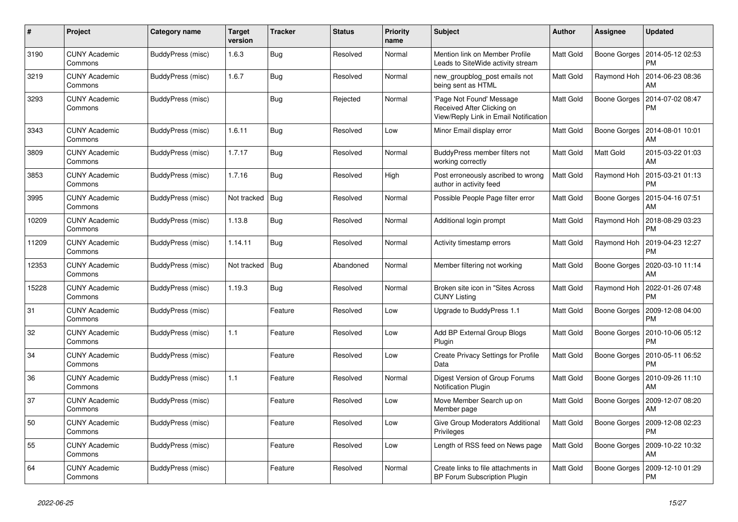| $\#$  | Project                         | <b>Category name</b> | Target<br>version | <b>Tracker</b> | <b>Status</b> | Priority<br>name | <b>Subject</b>                                                                                 | <b>Author</b> | <b>Assignee</b>     | <b>Updated</b>                |
|-------|---------------------------------|----------------------|-------------------|----------------|---------------|------------------|------------------------------------------------------------------------------------------------|---------------|---------------------|-------------------------------|
| 3190  | <b>CUNY Academic</b><br>Commons | BuddyPress (misc)    | 1.6.3             | Bug            | Resolved      | Normal           | Mention link on Member Profile<br>Leads to SiteWide activity stream                            | Matt Gold     | Boone Gorges        | 2014-05-12 02:53<br><b>PM</b> |
| 3219  | <b>CUNY Academic</b><br>Commons | BuddyPress (misc)    | 1.6.7             | Bug            | Resolved      | Normal           | new_groupblog_post emails not<br>being sent as HTML                                            | Matt Gold     | Raymond Hoh         | 2014-06-23 08:36<br>AM        |
| 3293  | <b>CUNY Academic</b><br>Commons | BuddyPress (misc)    |                   | <b>Bug</b>     | Rejected      | Normal           | Page Not Found' Message<br>Received After Clicking on<br>View/Reply Link in Email Notification | Matt Gold     | Boone Gorges        | 2014-07-02 08:47<br><b>PM</b> |
| 3343  | <b>CUNY Academic</b><br>Commons | BuddyPress (misc)    | 1.6.11            | Bug            | Resolved      | Low              | Minor Email display error                                                                      | Matt Gold     | <b>Boone Gorges</b> | 2014-08-01 10:01<br>AM        |
| 3809  | <b>CUNY Academic</b><br>Commons | BuddyPress (misc)    | 1.7.17            | <b>Bug</b>     | Resolved      | Normal           | BuddyPress member filters not<br>working correctly                                             | Matt Gold     | Matt Gold           | 2015-03-22 01:03<br>AM        |
| 3853  | <b>CUNY Academic</b><br>Commons | BuddyPress (misc)    | 1.7.16            | <b>Bug</b>     | Resolved      | High             | Post erroneously ascribed to wrong<br>author in activity feed                                  | Matt Gold     | Raymond Hoh         | 2015-03-21 01:13<br><b>PM</b> |
| 3995  | <b>CUNY Academic</b><br>Commons | BuddyPress (misc)    | Not tracked       | Bug            | Resolved      | Normal           | Possible People Page filter error                                                              | Matt Gold     | Boone Gorges        | 2015-04-16 07:51<br>AM        |
| 10209 | <b>CUNY Academic</b><br>Commons | BuddyPress (misc)    | 1.13.8            | <b>Bug</b>     | Resolved      | Normal           | Additional login prompt                                                                        | Matt Gold     | Raymond Hoh         | 2018-08-29 03:23<br><b>PM</b> |
| 11209 | <b>CUNY Academic</b><br>Commons | BuddyPress (misc)    | 1.14.11           | <b>Bug</b>     | Resolved      | Normal           | Activity timestamp errors                                                                      | Matt Gold     | Raymond Hoh         | 2019-04-23 12:27<br><b>PM</b> |
| 12353 | <b>CUNY Academic</b><br>Commons | BuddyPress (misc)    | Not tracked       | Bug            | Abandoned     | Normal           | Member filtering not working                                                                   | Matt Gold     | Boone Gorges        | 2020-03-10 11:14<br>AM        |
| 15228 | <b>CUNY Academic</b><br>Commons | BuddyPress (misc)    | 1.19.3            | Bug            | Resolved      | Normal           | Broken site icon in "Sites Across<br><b>CUNY Listing</b>                                       | Matt Gold     | Raymond Hoh         | 2022-01-26 07:48<br><b>PM</b> |
| 31    | <b>CUNY Academic</b><br>Commons | BuddyPress (misc)    |                   | Feature        | Resolved      | Low              | Upgrade to BuddyPress 1.1                                                                      | Matt Gold     | Boone Gorges        | 2009-12-08 04:00<br><b>PM</b> |
| 32    | <b>CUNY Academic</b><br>Commons | BuddyPress (misc)    | 1.1               | Feature        | Resolved      | Low              | Add BP External Group Blogs<br>Plugin                                                          | Matt Gold     | Boone Gorges        | 2010-10-06 05:12<br><b>PM</b> |
| 34    | <b>CUNY Academic</b><br>Commons | BuddyPress (misc)    |                   | Feature        | Resolved      | Low              | Create Privacy Settings for Profile<br>Data                                                    | Matt Gold     | Boone Gorges        | 2010-05-11 06:52<br><b>PM</b> |
| 36    | <b>CUNY Academic</b><br>Commons | BuddyPress (misc)    | 1.1               | Feature        | Resolved      | Normal           | Digest Version of Group Forums<br>Notification Plugin                                          | Matt Gold     | Boone Gorges        | 2010-09-26 11:10<br>AM        |
| 37    | <b>CUNY Academic</b><br>Commons | BuddyPress (misc)    |                   | Feature        | Resolved      | Low              | Move Member Search up on<br>Member page                                                        | Matt Gold     | Boone Gorges        | 2009-12-07 08:20<br>AM        |
| 50    | CUNY Academic<br>Commons        | BuddyPress (misc)    |                   | Feature        | Resolved      | Low              | Give Group Moderators Additional<br>Privileges                                                 | Matt Gold     | Boone Gorges        | 2009-12-08 02:23<br><b>PM</b> |
| 55    | <b>CUNY Academic</b><br>Commons | BuddyPress (misc)    |                   | Feature        | Resolved      | Low              | Length of RSS feed on News page                                                                | Matt Gold     | Boone Gorges        | 2009-10-22 10:32<br>AM        |
| 64    | <b>CUNY Academic</b><br>Commons | BuddyPress (misc)    |                   | Feature        | Resolved      | Normal           | Create links to file attachments in<br><b>BP Forum Subscription Plugin</b>                     | Matt Gold     | Boone Gorges        | 2009-12-10 01:29<br>PM        |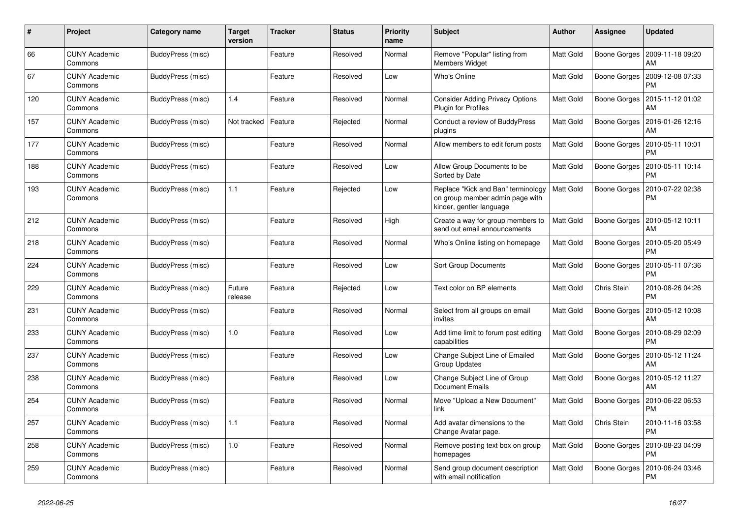| #   | Project                         | Category name     | <b>Target</b><br>version | <b>Tracker</b> | <b>Status</b> | <b>Priority</b><br>name | <b>Subject</b>                                                                                    | <b>Author</b> | Assignee     | <b>Updated</b>                |
|-----|---------------------------------|-------------------|--------------------------|----------------|---------------|-------------------------|---------------------------------------------------------------------------------------------------|---------------|--------------|-------------------------------|
| 66  | <b>CUNY Academic</b><br>Commons | BuddyPress (misc) |                          | Feature        | Resolved      | Normal                  | Remove "Popular" listing from<br><b>Members Widget</b>                                            | Matt Gold     | Boone Gorges | 2009-11-18 09:20<br>AM        |
| 67  | <b>CUNY Academic</b><br>Commons | BuddyPress (misc) |                          | Feature        | Resolved      | Low                     | Who's Online                                                                                      | Matt Gold     | Boone Gorges | 2009-12-08 07:33<br><b>PM</b> |
| 120 | <b>CUNY Academic</b><br>Commons | BuddyPress (misc) | 1.4                      | Feature        | Resolved      | Normal                  | <b>Consider Adding Privacy Options</b><br>Plugin for Profiles                                     | Matt Gold     | Boone Gorges | 2015-11-12 01:02<br>AM        |
| 157 | <b>CUNY Academic</b><br>Commons | BuddyPress (misc) | Not tracked              | Feature        | Rejected      | Normal                  | Conduct a review of BuddyPress<br>plugins                                                         | Matt Gold     | Boone Gorges | 2016-01-26 12:16<br>AM        |
| 177 | <b>CUNY Academic</b><br>Commons | BuddyPress (misc) |                          | Feature        | Resolved      | Normal                  | Allow members to edit forum posts                                                                 | Matt Gold     | Boone Gorges | 2010-05-11 10:01<br><b>PM</b> |
| 188 | <b>CUNY Academic</b><br>Commons | BuddyPress (misc) |                          | Feature        | Resolved      | Low                     | Allow Group Documents to be<br>Sorted by Date                                                     | Matt Gold     | Boone Gorges | 2010-05-11 10:14<br><b>PM</b> |
| 193 | <b>CUNY Academic</b><br>Commons | BuddyPress (misc) | 1.1                      | Feature        | Rejected      | Low                     | Replace "Kick and Ban" terminology<br>on group member admin page with<br>kinder, gentler language | Matt Gold     | Boone Gorges | 2010-07-22 02:38<br><b>PM</b> |
| 212 | <b>CUNY Academic</b><br>Commons | BuddyPress (misc) |                          | Feature        | Resolved      | High                    | Create a way for group members to<br>send out email announcements                                 | Matt Gold     | Boone Gorges | 2010-05-12 10:11<br>AM        |
| 218 | <b>CUNY Academic</b><br>Commons | BuddyPress (misc) |                          | Feature        | Resolved      | Normal                  | Who's Online listing on homepage                                                                  | Matt Gold     | Boone Gorges | 2010-05-20 05:49<br><b>PM</b> |
| 224 | <b>CUNY Academic</b><br>Commons | BuddyPress (misc) |                          | Feature        | Resolved      | Low                     | <b>Sort Group Documents</b>                                                                       | Matt Gold     | Boone Gorges | 2010-05-11 07:36<br><b>PM</b> |
| 229 | <b>CUNY Academic</b><br>Commons | BuddyPress (misc) | Future<br>release        | Feature        | Rejected      | Low                     | Text color on BP elements                                                                         | Matt Gold     | Chris Stein  | 2010-08-26 04:26<br><b>PM</b> |
| 231 | <b>CUNY Academic</b><br>Commons | BuddyPress (misc) |                          | Feature        | Resolved      | Normal                  | Select from all groups on email<br>invites                                                        | Matt Gold     | Boone Gorges | 2010-05-12 10:08<br>AM        |
| 233 | <b>CUNY Academic</b><br>Commons | BuddyPress (misc) | 1.0                      | Feature        | Resolved      | Low                     | Add time limit to forum post editing<br>capabilities                                              | Matt Gold     | Boone Gorges | 2010-08-29 02:09<br><b>PM</b> |
| 237 | <b>CUNY Academic</b><br>Commons | BuddyPress (misc) |                          | Feature        | Resolved      | Low                     | Change Subject Line of Emailed<br><b>Group Updates</b>                                            | Matt Gold     | Boone Gorges | 2010-05-12 11:24<br>AM        |
| 238 | <b>CUNY Academic</b><br>Commons | BuddyPress (misc) |                          | Feature        | Resolved      | Low                     | Change Subject Line of Group<br>Document Emails                                                   | Matt Gold     | Boone Gorges | 2010-05-12 11:27<br>AM        |
| 254 | <b>CUNY Academic</b><br>Commons | BuddyPress (misc) |                          | Feature        | Resolved      | Normal                  | Move "Upload a New Document"<br>link                                                              | Matt Gold     | Boone Gorges | 2010-06-22 06:53<br><b>PM</b> |
| 257 | <b>CUNY Academic</b><br>Commons | BuddyPress (misc) | 1.1                      | Feature        | Resolved      | Normal                  | Add avatar dimensions to the<br>Change Avatar page.                                               | Matt Gold     | Chris Stein  | 2010-11-16 03:58<br><b>PM</b> |
| 258 | <b>CUNY Academic</b><br>Commons | BuddyPress (misc) | 1.0                      | Feature        | Resolved      | Normal                  | Remove posting text box on group<br>homepages                                                     | Matt Gold     | Boone Gorges | 2010-08-23 04:09<br>PM        |
| 259 | <b>CUNY Academic</b><br>Commons | BuddyPress (misc) |                          | Feature        | Resolved      | Normal                  | Send group document description<br>with email notification                                        | Matt Gold     | Boone Gorges | 2010-06-24 03:46<br><b>PM</b> |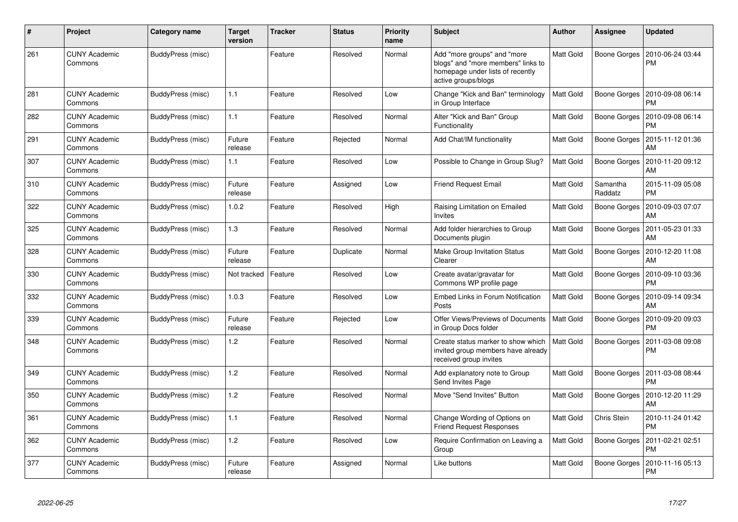| $\#$ | Project                         | Category name     | Target<br>version | <b>Tracker</b> | <b>Status</b> | <b>Priority</b><br>name | <b>Subject</b>                                                                                                               | Author    | Assignee            | <b>Updated</b>                |
|------|---------------------------------|-------------------|-------------------|----------------|---------------|-------------------------|------------------------------------------------------------------------------------------------------------------------------|-----------|---------------------|-------------------------------|
| 261  | <b>CUNY Academic</b><br>Commons | BuddyPress (misc) |                   | Feature        | Resolved      | Normal                  | Add "more groups" and "more<br>blogs" and "more members" links to<br>homepage under lists of recently<br>active groups/blogs | Matt Gold | Boone Gorges        | 2010-06-24 03:44<br><b>PM</b> |
| 281  | CUNY Academic<br>Commons        | BuddyPress (misc) | 1.1               | Feature        | Resolved      | Low                     | Change "Kick and Ban" terminology<br>in Group Interface                                                                      | Matt Gold | Boone Gorges        | 2010-09-08 06:14<br><b>PM</b> |
| 282  | <b>CUNY Academic</b><br>Commons | BuddyPress (misc) | 1.1               | Feature        | Resolved      | Normal                  | Alter "Kick and Ban" Group<br>Functionality                                                                                  | Matt Gold | Boone Gorges        | 2010-09-08 06:14<br><b>PM</b> |
| 291  | <b>CUNY Academic</b><br>Commons | BuddyPress (misc) | Future<br>release | Feature        | Rejected      | Normal                  | Add Chat/IM functionality                                                                                                    | Matt Gold | Boone Gorges        | 2015-11-12 01:36<br>AM        |
| 307  | <b>CUNY Academic</b><br>Commons | BuddyPress (misc) | 1.1               | Feature        | Resolved      | Low                     | Possible to Change in Group Slug?                                                                                            | Matt Gold | Boone Gorges        | 2010-11-20 09:12<br>AM        |
| 310  | <b>CUNY Academic</b><br>Commons | BuddyPress (misc) | Future<br>release | Feature        | Assigned      | Low                     | Friend Request Email                                                                                                         | Matt Gold | Samantha<br>Raddatz | 2015-11-09 05:08<br><b>PM</b> |
| 322  | <b>CUNY Academic</b><br>Commons | BuddyPress (misc) | 1.0.2             | Feature        | Resolved      | High                    | Raising Limitation on Emailed<br>Invites                                                                                     | Matt Gold | Boone Gorges        | 2010-09-03 07:07<br>AM        |
| 325  | <b>CUNY Academic</b><br>Commons | BuddyPress (misc) | 1.3               | Feature        | Resolved      | Normal                  | Add folder hierarchies to Group<br>Documents plugin                                                                          | Matt Gold | Boone Gorges        | 2011-05-23 01:33<br>AM        |
| 328  | <b>CUNY Academic</b><br>Commons | BuddyPress (misc) | Future<br>release | Feature        | Duplicate     | Normal                  | Make Group Invitation Status<br>Clearer                                                                                      | Matt Gold | Boone Gorges        | 2010-12-20 11:08<br>AM        |
| 330  | <b>CUNY Academic</b><br>Commons | BuddyPress (misc) | Not tracked       | Feature        | Resolved      | Low                     | Create avatar/gravatar for<br>Commons WP profile page                                                                        | Matt Gold | Boone Gorges        | 2010-09-10 03:36<br><b>PM</b> |
| 332  | <b>CUNY Academic</b><br>Commons | BuddyPress (misc) | 1.0.3             | Feature        | Resolved      | Low                     | Embed Links in Forum Notification<br>Posts                                                                                   | Matt Gold | Boone Gorges        | 2010-09-14 09:34<br>AM        |
| 339  | <b>CUNY Academic</b><br>Commons | BuddyPress (misc) | Future<br>release | Feature        | Rejected      | Low                     | Offer Views/Previews of Documents<br>in Group Docs folder                                                                    | Matt Gold | Boone Gorges        | 2010-09-20 09:03<br><b>PM</b> |
| 348  | CUNY Academic<br>Commons        | BuddyPress (misc) | 1.2               | Feature        | Resolved      | Normal                  | Create status marker to show which<br>invited group members have already<br>received group invites                           | Matt Gold | Boone Gorges        | 2011-03-08 09:08<br><b>PM</b> |
| 349  | <b>CUNY Academic</b><br>Commons | BuddyPress (misc) | 1.2               | Feature        | Resolved      | Normal                  | Add explanatory note to Group<br>Send Invites Page                                                                           | Matt Gold | Boone Gorges        | 2011-03-08 08:44<br><b>PM</b> |
| 350  | CUNY Academic<br>Commons        | BuddyPress (misc) | 1.2               | Feature        | Resolved      | Normal                  | Move "Send Invites" Button                                                                                                   | Matt Gold | Boone Gorges        | 2010-12-20 11:29<br>AM        |
| 361  | <b>CUNY Academic</b><br>Commons | BuddyPress (misc) | 1.1               | Feature        | Resolved      | Normal                  | Change Wording of Options on<br><b>Friend Request Responses</b>                                                              | Matt Gold | Chris Stein         | 2010-11-24 01:42<br><b>PM</b> |
| 362  | CUNY Academic<br>Commons        | BuddyPress (misc) | 1.2               | Feature        | Resolved      | Low                     | Require Confirmation on Leaving a<br>Group                                                                                   | Matt Gold | Boone Gorges        | 2011-02-21 02:51<br><b>PM</b> |
| 377  | CUNY Academic<br>Commons        | BuddyPress (misc) | Future<br>release | Feature        | Assigned      | Normal                  | Like buttons                                                                                                                 | Matt Gold | Boone Gorges        | 2010-11-16 05:13<br><b>PM</b> |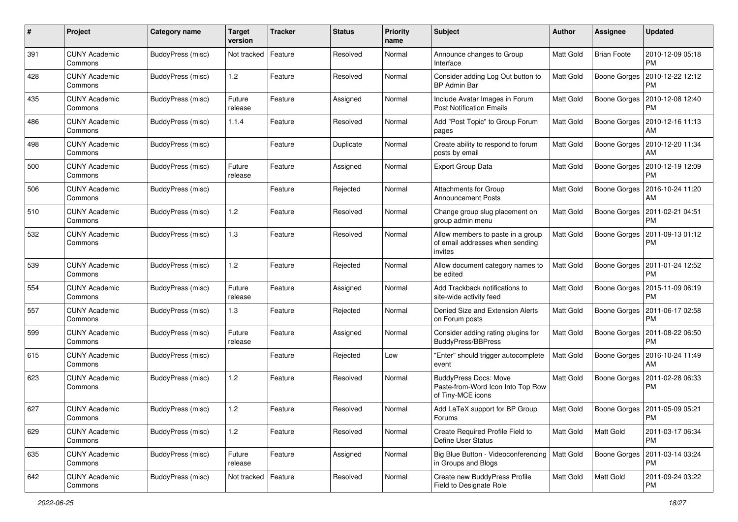| $\#$ | Project                         | <b>Category name</b>     | <b>Target</b><br>version | <b>Tracker</b> | <b>Status</b> | <b>Priority</b><br>name | <b>Subject</b>                                                                         | Author           | Assignee           | <b>Updated</b>                        |
|------|---------------------------------|--------------------------|--------------------------|----------------|---------------|-------------------------|----------------------------------------------------------------------------------------|------------------|--------------------|---------------------------------------|
| 391  | <b>CUNY Academic</b><br>Commons | <b>BuddyPress (misc)</b> | Not tracked              | Feature        | Resolved      | Normal                  | Announce changes to Group<br>Interface                                                 | <b>Matt Gold</b> | <b>Brian Foote</b> | 2010-12-09 05:18<br><b>PM</b>         |
| 428  | <b>CUNY Academic</b><br>Commons | BuddyPress (misc)        | 1.2                      | Feature        | Resolved      | Normal                  | Consider adding Log Out button to<br><b>BP Admin Bar</b>                               | Matt Gold        | Boone Gorges       | 2010-12-22 12:12<br><b>PM</b>         |
| 435  | <b>CUNY Academic</b><br>Commons | BuddyPress (misc)        | Future<br>release        | Feature        | Assigned      | Normal                  | Include Avatar Images in Forum<br><b>Post Notification Emails</b>                      | Matt Gold        | Boone Gorges       | 2010-12-08 12:40<br><b>PM</b>         |
| 486  | <b>CUNY Academic</b><br>Commons | <b>BuddyPress (misc)</b> | 1.1.4                    | Feature        | Resolved      | Normal                  | Add "Post Topic" to Group Forum<br>pages                                               | Matt Gold        | Boone Gorges       | 2010-12-16 11:13<br>AM                |
| 498  | <b>CUNY Academic</b><br>Commons | BuddyPress (misc)        |                          | Feature        | Duplicate     | Normal                  | Create ability to respond to forum<br>posts by email                                   | <b>Matt Gold</b> | Boone Gorges       | 2010-12-20 11:34<br>AM                |
| 500  | <b>CUNY Academic</b><br>Commons | BuddyPress (misc)        | Future<br>release        | Feature        | Assigned      | Normal                  | Export Group Data                                                                      | Matt Gold        | Boone Gorges       | 2010-12-19 12:09<br><b>PM</b>         |
| 506  | <b>CUNY Academic</b><br>Commons | BuddyPress (misc)        |                          | Feature        | Rejected      | Normal                  | Attachments for Group<br>Announcement Posts                                            | <b>Matt Gold</b> | Boone Gorges       | 2016-10-24 11:20<br>AM                |
| 510  | <b>CUNY Academic</b><br>Commons | <b>BuddyPress (misc)</b> | 1.2                      | Feature        | Resolved      | Normal                  | Change group slug placement on<br>group admin menu                                     | <b>Matt Gold</b> | Boone Gorges       | 2011-02-21 04:51<br><b>PM</b>         |
| 532  | <b>CUNY Academic</b><br>Commons | BuddyPress (misc)        | 1.3                      | Feature        | Resolved      | Normal                  | Allow members to paste in a group<br>of email addresses when sending<br>invites        | Matt Gold        | Boone Gorges       | 2011-09-13 01:12<br><b>PM</b>         |
| 539  | <b>CUNY Academic</b><br>Commons | BuddyPress (misc)        | 1.2                      | Feature        | Rejected      | Normal                  | Allow document category names to<br>be edited                                          | <b>Matt Gold</b> | Boone Gorges       | 2011-01-24 12:52<br><b>PM</b>         |
| 554  | CUNY Academic<br>Commons        | BuddyPress (misc)        | Future<br>release        | Feature        | Assigned      | Normal                  | Add Trackback notifications to<br>site-wide activity feed                              | <b>Matt Gold</b> | Boone Gorges       | 2015-11-09 06:19<br><b>PM</b>         |
| 557  | <b>CUNY Academic</b><br>Commons | <b>BuddyPress (misc)</b> | 1.3                      | Feature        | Rejected      | Normal                  | Denied Size and Extension Alerts<br>on Forum posts                                     | Matt Gold        | Boone Gorges       | 2011-06-17 02:58<br><b>PM</b>         |
| 599  | <b>CUNY Academic</b><br>Commons | <b>BuddyPress (misc)</b> | Future<br>release        | Feature        | Assigned      | Normal                  | Consider adding rating plugins for<br><b>BuddyPress/BBPress</b>                        | <b>Matt Gold</b> | Boone Gorges       | 2011-08-22 06:50<br><b>PM</b>         |
| 615  | <b>CUNY Academic</b><br>Commons | BuddyPress (misc)        |                          | Feature        | Rejected      | Low                     | "Enter" should trigger autocomplete<br>event                                           | Matt Gold        | Boone Gorges       | 2016-10-24 11:49<br>AM                |
| 623  | <b>CUNY Academic</b><br>Commons | BuddyPress (misc)        | 1.2                      | Feature        | Resolved      | Normal                  | <b>BuddyPress Docs: Move</b><br>Paste-from-Word Icon Into Top Row<br>of Tiny-MCE icons | Matt Gold        | Boone Gorges       | 2011-02-28 06:33<br><b>PM</b>         |
| 627  | CUNY Academic<br>Commons        | BuddyPress (misc)        | 1.2                      | Feature        | Resolved      | Normal                  | Add LaTeX support for BP Group<br><b>Forums</b>                                        | Matt Gold        |                    | Boone Gorges   2011-05-09 05:21<br>PM |
| 629  | <b>CUNY Academic</b><br>Commons | BuddyPress (misc)        | 1.2                      | Feature        | Resolved      | Normal                  | Create Required Profile Field to<br>Define User Status                                 | Matt Gold        | Matt Gold          | 2011-03-17 06:34<br><b>PM</b>         |
| 635  | <b>CUNY Academic</b><br>Commons | BuddyPress (misc)        | Future<br>release        | Feature        | Assigned      | Normal                  | Big Blue Button - Videoconferencing   Matt Gold<br>in Groups and Blogs                 |                  | Boone Gorges       | 2011-03-14 03:24<br><b>PM</b>         |
| 642  | <b>CUNY Academic</b><br>Commons | BuddyPress (misc)        | Not tracked              | Feature        | Resolved      | Normal                  | Create new BuddyPress Profile<br>Field to Designate Role                               | Matt Gold        | Matt Gold          | 2011-09-24 03:22<br>PM                |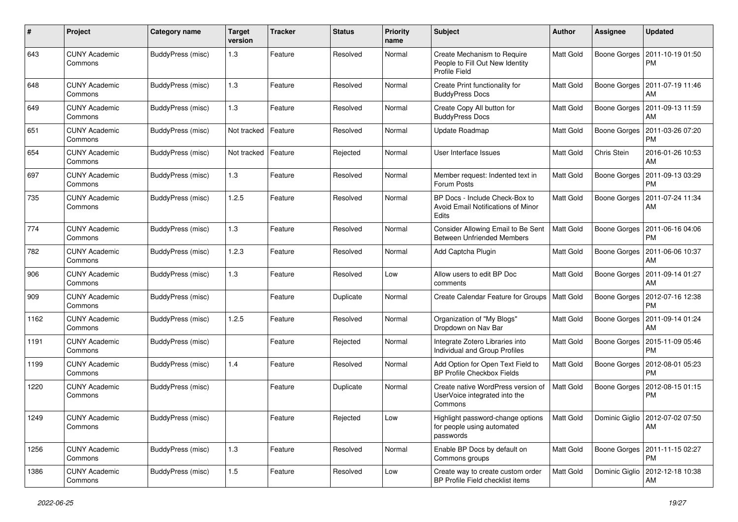| #    | Project                         | <b>Category name</b>     | <b>Target</b><br>version | <b>Tracker</b> | <b>Status</b> | <b>Priority</b><br>name | Subject                                                                                | <b>Author</b>    | Assignee     | <b>Updated</b>                                      |
|------|---------------------------------|--------------------------|--------------------------|----------------|---------------|-------------------------|----------------------------------------------------------------------------------------|------------------|--------------|-----------------------------------------------------|
| 643  | <b>CUNY Academic</b><br>Commons | BuddyPress (misc)        | 1.3                      | Feature        | Resolved      | Normal                  | Create Mechanism to Require<br>People to Fill Out New Identity<br><b>Profile Field</b> | Matt Gold        | Boone Gorges | 2011-10-19 01:50<br><b>PM</b>                       |
| 648  | <b>CUNY Academic</b><br>Commons | BuddyPress (misc)        | 1.3                      | Feature        | Resolved      | Normal                  | Create Print functionality for<br><b>BuddyPress Docs</b>                               | Matt Gold        | Boone Gorges | 2011-07-19 11:46<br>AM                              |
| 649  | <b>CUNY Academic</b><br>Commons | BuddyPress (misc)        | 1.3                      | Feature        | Resolved      | Normal                  | Create Copy All button for<br><b>BuddyPress Docs</b>                                   | Matt Gold        | Boone Gorges | 2011-09-13 11:59<br>AM                              |
| 651  | <b>CUNY Academic</b><br>Commons | BuddyPress (misc)        | Not tracked              | Feature        | Resolved      | Normal                  | Update Roadmap                                                                         | Matt Gold        | Boone Gorges | 2011-03-26 07:20<br><b>PM</b>                       |
| 654  | <b>CUNY Academic</b><br>Commons | BuddyPress (misc)        | Not tracked              | Feature        | Rejected      | Normal                  | User Interface Issues                                                                  | Matt Gold        | Chris Stein  | 2016-01-26 10:53<br>AM                              |
| 697  | <b>CUNY Academic</b><br>Commons | BuddyPress (misc)        | 1.3                      | Feature        | Resolved      | Normal                  | Member request: Indented text in<br>Forum Posts                                        | Matt Gold        | Boone Gorges | 2011-09-13 03:29<br><b>PM</b>                       |
| 735  | <b>CUNY Academic</b><br>Commons | BuddyPress (misc)        | 1.2.5                    | Feature        | Resolved      | Normal                  | BP Docs - Include Check-Box to<br>Avoid Email Notifications of Minor<br>Edits          | Matt Gold        | Boone Gorges | 2011-07-24 11:34<br>AM                              |
| 774  | <b>CUNY Academic</b><br>Commons | BuddyPress (misc)        | 1.3                      | Feature        | Resolved      | Normal                  | Consider Allowing Email to Be Sent<br><b>Between Unfriended Members</b>                | Matt Gold        | Boone Gorges | 2011-06-16 04:06<br><b>PM</b>                       |
| 782  | <b>CUNY Academic</b><br>Commons | BuddyPress (misc)        | 1.2.3                    | Feature        | Resolved      | Normal                  | Add Captcha Plugin                                                                     | Matt Gold        | Boone Gorges | 2011-06-06 10:37<br>AM                              |
| 906  | <b>CUNY Academic</b><br>Commons | BuddyPress (misc)        | 1.3                      | Feature        | Resolved      | Low                     | Allow users to edit BP Doc<br>comments                                                 | <b>Matt Gold</b> | Boone Gorges | 2011-09-14 01:27<br>AM                              |
| 909  | <b>CUNY Academic</b><br>Commons | BuddyPress (misc)        |                          | Feature        | Duplicate     | Normal                  | Create Calendar Feature for Groups   Matt Gold                                         |                  | Boone Gorges | 2012-07-16 12:38<br><b>PM</b>                       |
| 1162 | <b>CUNY Academic</b><br>Commons | BuddyPress (misc)        | 1.2.5                    | Feature        | Resolved      | Normal                  | Organization of "My Blogs"<br>Dropdown on Nav Bar                                      | Matt Gold        | Boone Gorges | 2011-09-14 01:24<br>AM                              |
| 1191 | <b>CUNY Academic</b><br>Commons | BuddyPress (misc)        |                          | Feature        | Rejected      | Normal                  | Integrate Zotero Libraries into<br>Individual and Group Profiles                       | Matt Gold        | Boone Gorges | 2015-11-09 05:46<br><b>PM</b>                       |
| 1199 | <b>CUNY Academic</b><br>Commons | BuddyPress (misc)        | 1.4                      | Feature        | Resolved      | Normal                  | Add Option for Open Text Field to<br>BP Profile Checkbox Fields                        | Matt Gold        | Boone Gorges | 2012-08-01 05:23<br><b>PM</b>                       |
| 1220 | <b>CUNY Academic</b><br>Commons | BuddyPress (misc)        |                          | Feature        | Duplicate     | Normal                  | Create native WordPress version of<br>UserVoice integrated into the<br>Commons         | <b>Matt Gold</b> | Boone Gorges | 2012-08-15 01:15<br><b>PM</b>                       |
| 1249 | <b>CUNY Academic</b><br>Commons | BuddyPress (misc)        |                          | Feature        | Rejected      | Low                     | Highlight password-change options<br>for people using automated<br>passwords           |                  |              | Matt Gold   Dominic Giglio   2012-07-02 07:50<br>AM |
| 1256 | <b>CUNY Academic</b><br>Commons | <b>BuddyPress (misc)</b> | 1.3                      | Feature        | Resolved      | Normal                  | Enable BP Docs by default on<br>Commons groups                                         | Matt Gold        |              | Boone Gorges   2011-11-15 02:27<br><b>PM</b>        |
| 1386 | <b>CUNY Academic</b><br>Commons | BuddyPress (misc)        | 1.5                      | Feature        | Resolved      | Low                     | Create way to create custom order<br>BP Profile Field checklist items                  | Matt Gold        |              | Dominic Giglio   2012-12-18 10:38<br>AM             |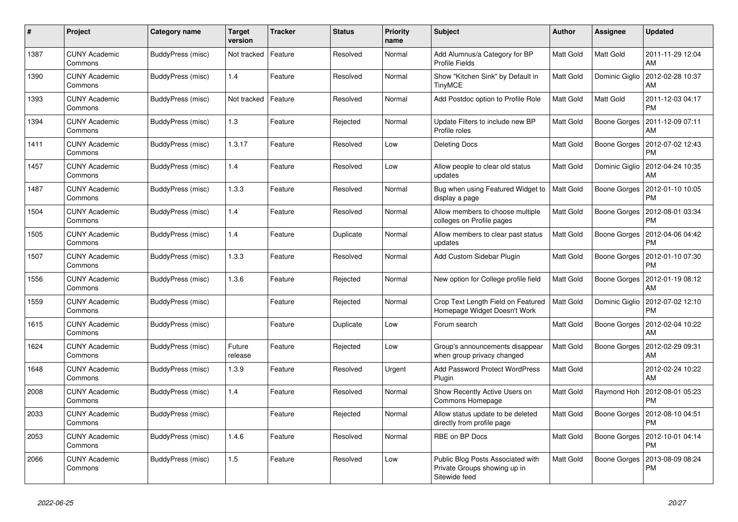| #    | Project                         | Category name            | <b>Target</b><br>version | <b>Tracker</b> | <b>Status</b> | <b>Priority</b><br>name | <b>Subject</b>                                                                     | <b>Author</b> | Assignee       | <b>Updated</b>                        |
|------|---------------------------------|--------------------------|--------------------------|----------------|---------------|-------------------------|------------------------------------------------------------------------------------|---------------|----------------|---------------------------------------|
| 1387 | <b>CUNY Academic</b><br>Commons | BuddyPress (misc)        | Not tracked              | Feature        | Resolved      | Normal                  | Add Alumnus/a Category for BP<br><b>Profile Fields</b>                             | Matt Gold     | Matt Gold      | 2011-11-29 12:04<br>AM                |
| 1390 | <b>CUNY Academic</b><br>Commons | BuddyPress (misc)        | 1.4                      | Feature        | Resolved      | Normal                  | Show "Kitchen Sink" by Default in<br><b>TinyMCE</b>                                | Matt Gold     | Dominic Giglio | 2012-02-28 10:37<br>AM                |
| 1393 | <b>CUNY Academic</b><br>Commons | BuddyPress (misc)        | Not tracked              | Feature        | Resolved      | Normal                  | Add Postdoc option to Profile Role                                                 | Matt Gold     | Matt Gold      | 2011-12-03 04:17<br><b>PM</b>         |
| 1394 | <b>CUNY Academic</b><br>Commons | BuddyPress (misc)        | $1.3$                    | Feature        | Rejected      | Normal                  | Update Filters to include new BP<br>Profile roles                                  | Matt Gold     | Boone Gorges   | 2011-12-09 07:11<br>AM                |
| 1411 | <b>CUNY Academic</b><br>Commons | BuddyPress (misc)        | 1.3.17                   | Feature        | Resolved      | Low                     | <b>Deleting Docs</b>                                                               | Matt Gold     | Boone Gorges   | 2012-07-02 12:43<br><b>PM</b>         |
| 1457 | <b>CUNY Academic</b><br>Commons | BuddyPress (misc)        | 1.4                      | Feature        | Resolved      | Low                     | Allow people to clear old status<br>updates                                        | Matt Gold     | Dominic Giglio | 2012-04-24 10:35<br>AM                |
| 1487 | <b>CUNY Academic</b><br>Commons | BuddyPress (misc)        | 1.3.3                    | Feature        | Resolved      | Normal                  | Bug when using Featured Widget to<br>display a page                                | Matt Gold     | Boone Gorges   | 2012-01-10 10:05<br><b>PM</b>         |
| 1504 | <b>CUNY Academic</b><br>Commons | BuddyPress (misc)        | 1.4                      | Feature        | Resolved      | Normal                  | Allow members to choose multiple<br>colleges on Profile pages                      | Matt Gold     | Boone Gorges   | 2012-08-01 03:34<br><b>PM</b>         |
| 1505 | <b>CUNY Academic</b><br>Commons | BuddyPress (misc)        | 1.4                      | Feature        | Duplicate     | Normal                  | Allow members to clear past status<br>updates                                      | Matt Gold     | Boone Gorges   | 2012-04-06 04:42<br><b>PM</b>         |
| 1507 | <b>CUNY Academic</b><br>Commons | BuddyPress (misc)        | 1.3.3                    | Feature        | Resolved      | Normal                  | Add Custom Sidebar Plugin                                                          | Matt Gold     | Boone Gorges   | 2012-01-10 07:30<br><b>PM</b>         |
| 1556 | <b>CUNY Academic</b><br>Commons | BuddyPress (misc)        | 1.3.6                    | Feature        | Rejected      | Normal                  | New option for College profile field                                               | Matt Gold     | Boone Gorges   | 2012-01-19 08:12<br>AM                |
| 1559 | <b>CUNY Academic</b><br>Commons | BuddyPress (misc)        |                          | Feature        | Rejected      | Normal                  | Crop Text Length Field on Featured<br>Homepage Widget Doesn't Work                 | Matt Gold     | Dominic Giglio | 2012-07-02 12:10<br><b>PM</b>         |
| 1615 | <b>CUNY Academic</b><br>Commons | BuddyPress (misc)        |                          | Feature        | Duplicate     | Low                     | Forum search                                                                       | Matt Gold     |                | Boone Gorges   2012-02-04 10:22<br>AM |
| 1624 | <b>CUNY Academic</b><br>Commons | BuddyPress (misc)        | Future<br>release        | Feature        | Rejected      | Low                     | Group's announcements disappear<br>when group privacy changed                      | Matt Gold     | Boone Gorges   | 2012-02-29 09:31<br>AM                |
| 1648 | <b>CUNY Academic</b><br>Commons | BuddyPress (misc)        | 1.3.9                    | Feature        | Resolved      | Urgent                  | <b>Add Password Protect WordPress</b><br>Plugin                                    | Matt Gold     |                | 2012-02-24 10:22<br>AM                |
| 2008 | <b>CUNY Academic</b><br>Commons | BuddyPress (misc)        | 1.4                      | Feature        | Resolved      | Normal                  | Show Recently Active Users on<br>Commons Homepage                                  | Matt Gold     | Raymond Hoh    | 2012-08-01 05:23<br><b>PM</b>         |
| 2033 | <b>CUNY Academic</b><br>Commons | BuddyPress (misc)        |                          | Feature        | Rejected      | Normal                  | Allow status update to be deleted<br>directly from profile page                    | Matt Gold     | Boone Gorges   | 2012-08-10 04:51<br><b>PM</b>         |
| 2053 | <b>CUNY Academic</b><br>Commons | <b>BuddyPress</b> (misc) | 1.4.6                    | Feature        | Resolved      | Normal                  | RBE on BP Docs                                                                     | Matt Gold     | Boone Gorges   | 2012-10-01 04:14<br><b>PM</b>         |
| 2066 | <b>CUNY Academic</b><br>Commons | BuddyPress (misc)        | 1.5                      | Feature        | Resolved      | Low                     | Public Blog Posts Associated with<br>Private Groups showing up in<br>Sitewide feed | Matt Gold     | Boone Gorges   | 2013-08-09 08:24<br><b>PM</b>         |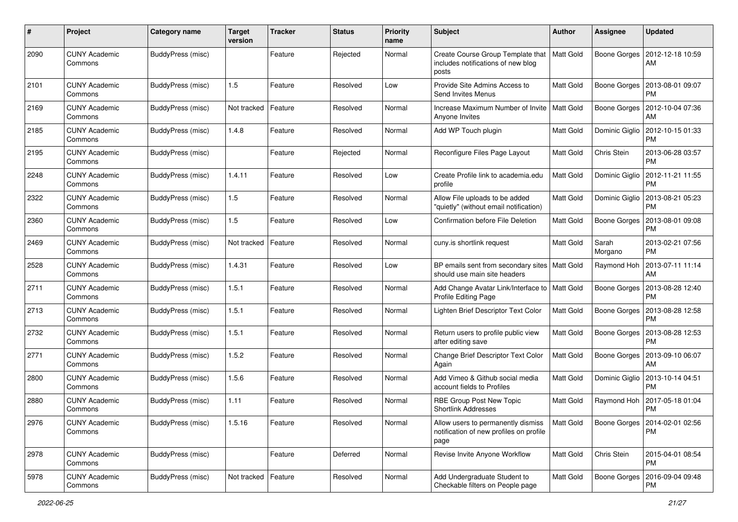| #    | Project                         | Category name            | <b>Target</b><br>version | <b>Tracker</b> | <b>Status</b> | <b>Priority</b><br>name | Subject                                                                               | Author           | <b>Assignee</b>  | <b>Updated</b>                               |
|------|---------------------------------|--------------------------|--------------------------|----------------|---------------|-------------------------|---------------------------------------------------------------------------------------|------------------|------------------|----------------------------------------------|
| 2090 | <b>CUNY Academic</b><br>Commons | <b>BuddyPress (misc)</b> |                          | Feature        | Rejected      | Normal                  | Create Course Group Template that<br>includes notifications of new blog<br>posts      | <b>Matt Gold</b> | Boone Gorges     | 2012-12-18 10:59<br>AM                       |
| 2101 | <b>CUNY Academic</b><br>Commons | BuddyPress (misc)        | 1.5                      | Feature        | Resolved      | Low                     | Provide Site Admins Access to<br>Send Invites Menus                                   | <b>Matt Gold</b> | Boone Gorges     | 2013-08-01 09:07<br><b>PM</b>                |
| 2169 | <b>CUNY Academic</b><br>Commons | <b>BuddyPress</b> (misc) | Not tracked              | Feature        | Resolved      | Normal                  | Increase Maximum Number of Invite<br>Anyone Invites                                   | <b>Matt Gold</b> | Boone Gorges     | 2012-10-04 07:36<br>AM                       |
| 2185 | <b>CUNY Academic</b><br>Commons | <b>BuddyPress (misc)</b> | 1.4.8                    | Feature        | Resolved      | Normal                  | Add WP Touch plugin                                                                   | <b>Matt Gold</b> | Dominic Giglio   | 2012-10-15 01:33<br>PM                       |
| 2195 | <b>CUNY Academic</b><br>Commons | BuddyPress (misc)        |                          | Feature        | Rejected      | Normal                  | Reconfigure Files Page Layout                                                         | <b>Matt Gold</b> | Chris Stein      | 2013-06-28 03:57<br><b>PM</b>                |
| 2248 | <b>CUNY Academic</b><br>Commons | BuddyPress (misc)        | 1.4.11                   | Feature        | Resolved      | Low                     | Create Profile link to academia.edu<br>profile                                        | Matt Gold        | Dominic Giglio   | 2012-11-21 11:55<br>PM                       |
| 2322 | <b>CUNY Academic</b><br>Commons | BuddyPress (misc)        | 1.5                      | Feature        | Resolved      | Normal                  | Allow File uploads to be added<br>"quietly" (without email notification)              | Matt Gold        | Dominic Giglio   | 2013-08-21 05:23<br><b>PM</b>                |
| 2360 | <b>CUNY Academic</b><br>Commons | <b>BuddyPress</b> (misc) | 1.5                      | Feature        | Resolved      | Low                     | Confirmation before File Deletion                                                     | Matt Gold        | Boone Gorges     | 2013-08-01 09:08<br><b>PM</b>                |
| 2469 | <b>CUNY Academic</b><br>Commons | BuddyPress (misc)        | Not tracked              | Feature        | Resolved      | Normal                  | cuny.is shortlink request                                                             | Matt Gold        | Sarah<br>Morgano | 2013-02-21 07:56<br>РM                       |
| 2528 | <b>CUNY Academic</b><br>Commons | <b>BuddyPress (misc)</b> | 1.4.31                   | Feature        | Resolved      | Low                     | BP emails sent from secondary sites   Matt Gold<br>should use main site headers       |                  | Raymond Hoh      | 2013-07-11 11:14<br>AM                       |
| 2711 | <b>CUNY Academic</b><br>Commons | <b>BuddyPress (misc)</b> | 1.5.1                    | Feature        | Resolved      | Normal                  | Add Change Avatar Link/Interface to  <br>Profile Editing Page                         | Matt Gold        | Boone Gorges     | 2013-08-28 12:40<br>PM                       |
| 2713 | <b>CUNY Academic</b><br>Commons | BuddyPress (misc)        | 1.5.1                    | Feature        | Resolved      | Normal                  | Lighten Brief Descriptor Text Color                                                   | Matt Gold        | Boone Gorges     | 2013-08-28 12:58<br><b>PM</b>                |
| 2732 | <b>CUNY Academic</b><br>Commons | <b>BuddyPress (misc)</b> | 1.5.1                    | Feature        | Resolved      | Normal                  | Return users to profile public view<br>after editing save                             | <b>Matt Gold</b> | Boone Gorges     | 2013-08-28 12:53<br><b>PM</b>                |
| 2771 | <b>CUNY Academic</b><br>Commons | BuddyPress (misc)        | 1.5.2                    | Feature        | Resolved      | Normal                  | Change Brief Descriptor Text Color<br>Again                                           | Matt Gold        | Boone Gorges     | 2013-09-10 06:07<br>AM                       |
| 2800 | <b>CUNY Academic</b><br>Commons | <b>BuddyPress (misc)</b> | 1.5.6                    | Feature        | Resolved      | Normal                  | Add Vimeo & Github social media<br>account fields to Profiles                         | Matt Gold        | Dominic Giglio   | 2013-10-14 04:51<br><b>PM</b>                |
| 2880 | <b>CUNY Academic</b><br>Commons | BuddyPress (misc)        | 1.11                     | Feature        | Resolved      | Normal                  | RBE Group Post New Topic<br><b>Shortlink Addresses</b>                                | Matt Gold        | Raymond Hoh      | 2017-05-18 01:04<br><b>PM</b>                |
| 2976 | <b>CUNY Academic</b><br>Commons | BuddyPress (misc)        | 1.5.16                   | Feature        | Resolved      | Normal                  | Allow users to permanently dismiss<br>notification of new profiles on profile<br>page | Matt Gold        |                  | Boone Gorges   2014-02-01 02:56<br><b>PM</b> |
| 2978 | <b>CUNY Academic</b><br>Commons | <b>BuddyPress (misc)</b> |                          | Feature        | Deferred      | Normal                  | Revise Invite Anyone Workflow                                                         | Matt Gold        | Chris Stein      | 2015-04-01 08:54<br>PM                       |
| 5978 | <b>CUNY Academic</b><br>Commons | BuddyPress (misc)        | Not tracked              | Feature        | Resolved      | Normal                  | Add Undergraduate Student to<br>Checkable filters on People page                      | Matt Gold        |                  | Boone Gorges   2016-09-04 09:48<br><b>PM</b> |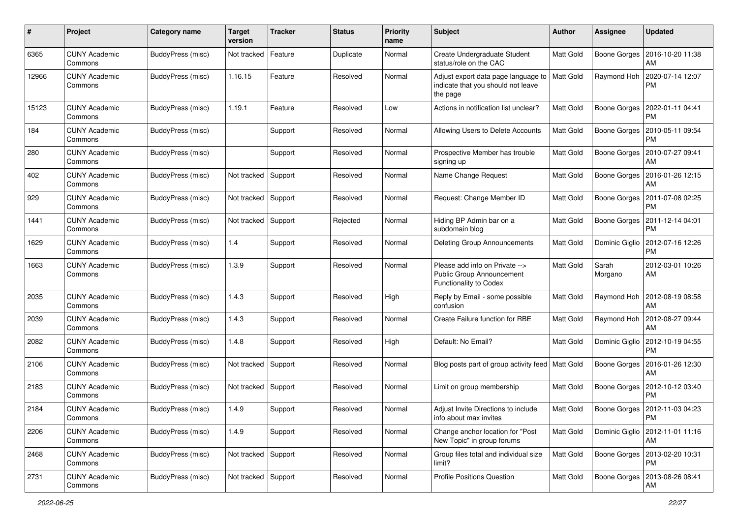| #     | Project                         | <b>Category name</b> | <b>Target</b><br>version | <b>Tracker</b> | <b>Status</b> | <b>Priority</b><br>name | Subject                                                                                           | Author           | <b>Assignee</b>     | <b>Updated</b>                |
|-------|---------------------------------|----------------------|--------------------------|----------------|---------------|-------------------------|---------------------------------------------------------------------------------------------------|------------------|---------------------|-------------------------------|
| 6365  | <b>CUNY Academic</b><br>Commons | BuddyPress (misc)    | Not tracked              | Feature        | Duplicate     | Normal                  | Create Undergraduate Student<br>status/role on the CAC                                            | Matt Gold        | Boone Gorges        | 2016-10-20 11:38<br>AM        |
| 12966 | <b>CUNY Academic</b><br>Commons | BuddyPress (misc)    | 1.16.15                  | Feature        | Resolved      | Normal                  | Adjust export data page language to   Matt Gold<br>indicate that you should not leave<br>the page |                  | Raymond Hoh         | 2020-07-14 12:07<br>PM        |
| 15123 | <b>CUNY Academic</b><br>Commons | BuddyPress (misc)    | 1.19.1                   | Feature        | Resolved      | Low                     | Actions in notification list unclear?                                                             | Matt Gold        | Boone Gorges        | 2022-01-11 04:41<br><b>PM</b> |
| 184   | CUNY Academic<br>Commons        | BuddyPress (misc)    |                          | Support        | Resolved      | Normal                  | Allowing Users to Delete Accounts                                                                 | Matt Gold        | Boone Gorges        | 2010-05-11 09:54<br><b>PM</b> |
| 280   | <b>CUNY Academic</b><br>Commons | BuddyPress (misc)    |                          | Support        | Resolved      | Normal                  | Prospective Member has trouble<br>signing up                                                      | Matt Gold        | Boone Gorges        | 2010-07-27 09:41<br>AM        |
| 402   | CUNY Academic<br>Commons        | BuddyPress (misc)    | Not tracked              | Support        | Resolved      | Normal                  | Name Change Request                                                                               | Matt Gold        | Boone Gorges        | 2016-01-26 12:15<br>AM        |
| 929   | <b>CUNY Academic</b><br>Commons | BuddyPress (misc)    | Not tracked              | Support        | Resolved      | Normal                  | Request: Change Member ID                                                                         | Matt Gold        | Boone Gorges        | 2011-07-08 02:25<br><b>PM</b> |
| 1441  | <b>CUNY Academic</b><br>Commons | BuddyPress (misc)    | Not tracked              | Support        | Rejected      | Normal                  | Hiding BP Admin bar on a<br>subdomain blog                                                        | Matt Gold        | Boone Gorges        | 2011-12-14 04:01<br><b>PM</b> |
| 1629  | <b>CUNY Academic</b><br>Commons | BuddyPress (misc)    | 1.4                      | Support        | Resolved      | Normal                  | Deleting Group Announcements                                                                      | Matt Gold        | Dominic Giglio      | 2012-07-16 12:26<br><b>PM</b> |
| 1663  | <b>CUNY Academic</b><br>Commons | BuddyPress (misc)    | 1.3.9                    | Support        | Resolved      | Normal                  | Please add info on Private --><br><b>Public Group Announcement</b><br>Functionality to Codex      | Matt Gold        | Sarah<br>Morgano    | 2012-03-01 10:26<br>AM        |
| 2035  | <b>CUNY Academic</b><br>Commons | BuddyPress (misc)    | 1.4.3                    | Support        | Resolved      | High                    | Reply by Email - some possible<br>confusion                                                       | Matt Gold        | Raymond Hoh         | 2012-08-19 08:58<br>AM        |
| 2039  | <b>CUNY Academic</b><br>Commons | BuddyPress (misc)    | 1.4.3                    | Support        | Resolved      | Normal                  | Create Failure function for RBE                                                                   | Matt Gold        | Raymond Hoh         | 2012-08-27 09:44<br>AM        |
| 2082  | <b>CUNY Academic</b><br>Commons | BuddyPress (misc)    | 1.4.8                    | Support        | Resolved      | High                    | Default: No Email?                                                                                | Matt Gold        | Dominic Giglio      | 2012-10-19 04:55<br><b>PM</b> |
| 2106  | <b>CUNY Academic</b><br>Commons | BuddyPress (misc)    | Not tracked              | Support        | Resolved      | Normal                  | Blog posts part of group activity feed   Matt Gold                                                |                  | Boone Gorges        | 2016-01-26 12:30<br>AM        |
| 2183  | <b>CUNY Academic</b><br>Commons | BuddyPress (misc)    | Not tracked Support      |                | Resolved      | Normal                  | Limit on group membership                                                                         | Matt Gold        | Boone Gorges        | 2012-10-12 03:40<br><b>PM</b> |
| 2184  | <b>CUNY Academic</b><br>Commons | BuddyPress (misc)    | 1.4.9                    | Support        | Resolved      | Normal                  | Adjust Invite Directions to include<br>info about max invites                                     | Matt Gold        | Boone Gorges        | 2012-11-03 04:23<br>PM        |
| 2206  | <b>CUNY Academic</b><br>Commons | BuddyPress (misc)    | 1.4.9                    | Support        | Resolved      | Normal                  | Change anchor location for "Post<br>New Topic" in group forums                                    | <b>Matt Gold</b> | Dominic Giglio      | 2012-11-01 11:16<br>AM        |
| 2468  | <b>CUNY Academic</b><br>Commons | BuddyPress (misc)    | Not tracked Support      |                | Resolved      | Normal                  | Group files total and individual size<br>limit?                                                   | Matt Gold        | Boone Gorges        | 2013-02-20 10:31<br><b>PM</b> |
| 2731  | <b>CUNY Academic</b><br>Commons | BuddyPress (misc)    | Not tracked Support      |                | Resolved      | Normal                  | <b>Profile Positions Question</b>                                                                 | Matt Gold        | <b>Boone Gorges</b> | 2013-08-26 08:41<br>AM        |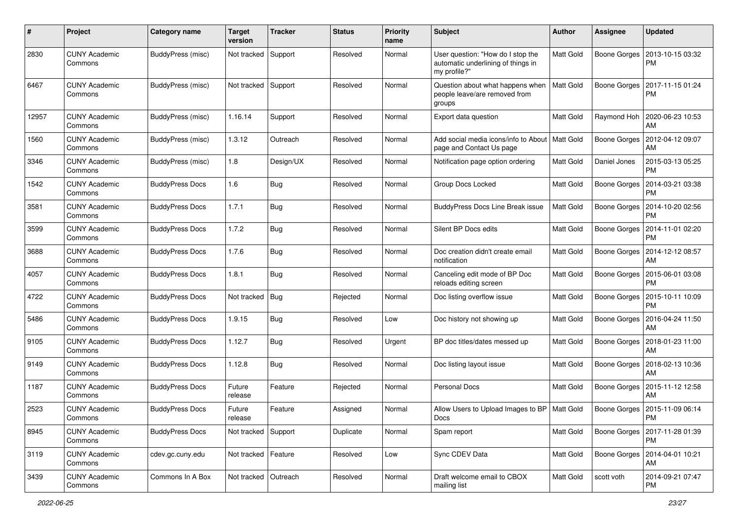| #     | Project                         | <b>Category name</b>   | <b>Target</b><br>version | <b>Tracker</b> | <b>Status</b> | <b>Priority</b><br>name | <b>Subject</b>                                                                          | <b>Author</b> | Assignee     | <b>Updated</b>                               |
|-------|---------------------------------|------------------------|--------------------------|----------------|---------------|-------------------------|-----------------------------------------------------------------------------------------|---------------|--------------|----------------------------------------------|
| 2830  | <b>CUNY Academic</b><br>Commons | BuddyPress (misc)      | Not tracked              | Support        | Resolved      | Normal                  | User question: "How do I stop the<br>automatic underlining of things in<br>my profile?" | Matt Gold     | Boone Gorges | 2013-10-15 03:32<br><b>PM</b>                |
| 6467  | <b>CUNY Academic</b><br>Commons | BuddyPress (misc)      | Not tracked              | Support        | Resolved      | Normal                  | Question about what happens when<br>people leave/are removed from<br>groups             | Matt Gold     | Boone Gorges | 2017-11-15 01:24<br>РM                       |
| 12957 | <b>CUNY Academic</b><br>Commons | BuddyPress (misc)      | 1.16.14                  | Support        | Resolved      | Normal                  | Export data question                                                                    | Matt Gold     | Raymond Hoh  | 2020-06-23 10:53<br>AM                       |
| 1560  | <b>CUNY Academic</b><br>Commons | BuddyPress (misc)      | 1.3.12                   | Outreach       | Resolved      | Normal                  | Add social media icons/info to About   Matt Gold<br>page and Contact Us page            |               | Boone Gorges | 2012-04-12 09:07<br>AM                       |
| 3346  | <b>CUNY Academic</b><br>Commons | BuddyPress (misc)      | 1.8                      | Design/UX      | Resolved      | Normal                  | Notification page option ordering                                                       | Matt Gold     | Daniel Jones | 2015-03-13 05:25<br><b>PM</b>                |
| 1542  | <b>CUNY Academic</b><br>Commons | <b>BuddyPress Docs</b> | 1.6                      | Bug            | Resolved      | Normal                  | Group Docs Locked                                                                       | Matt Gold     | Boone Gorges | 2014-03-21 03:38<br>PM                       |
| 3581  | <b>CUNY Academic</b><br>Commons | <b>BuddyPress Docs</b> | 1.7.1                    | Bug            | Resolved      | Normal                  | <b>BuddyPress Docs Line Break issue</b>                                                 | Matt Gold     | Boone Gorges | 2014-10-20 02:56<br><b>PM</b>                |
| 3599  | <b>CUNY Academic</b><br>Commons | <b>BuddyPress Docs</b> | 1.7.2                    | Bug            | Resolved      | Normal                  | Silent BP Docs edits                                                                    | Matt Gold     | Boone Gorges | 2014-11-01 02:20<br><b>PM</b>                |
| 3688  | <b>CUNY Academic</b><br>Commons | <b>BuddyPress Docs</b> | 1.7.6                    | Bug            | Resolved      | Normal                  | Doc creation didn't create email<br>notification                                        | Matt Gold     | Boone Gorges | 2014-12-12 08:57<br>AM                       |
| 4057  | <b>CUNY Academic</b><br>Commons | <b>BuddyPress Docs</b> | 1.8.1                    | Bug            | Resolved      | Normal                  | Canceling edit mode of BP Doc<br>reloads editing screen                                 | Matt Gold     | Boone Gorges | 2015-06-01 03:08<br>PM                       |
| 4722  | <b>CUNY Academic</b><br>Commons | <b>BuddyPress Docs</b> | Not tracked              | <b>Bug</b>     | Rejected      | Normal                  | Doc listing overflow issue                                                              | Matt Gold     | Boone Gorges | 2015-10-11 10:09<br><b>PM</b>                |
| 5486  | <b>CUNY Academic</b><br>Commons | <b>BuddyPress Docs</b> | 1.9.15                   | Bug            | Resolved      | Low                     | Doc history not showing up                                                              | Matt Gold     | Boone Gorges | 2016-04-24 11:50<br>AM                       |
| 9105  | <b>CUNY Academic</b><br>Commons | <b>BuddyPress Docs</b> | 1.12.7                   | <b>Bug</b>     | Resolved      | Urgent                  | BP doc titles/dates messed up                                                           | Matt Gold     | Boone Gorges | 2018-01-23 11:00<br>AM                       |
| 9149  | <b>CUNY Academic</b><br>Commons | <b>BuddyPress Docs</b> | 1.12.8                   | Bug            | Resolved      | Normal                  | Doc listing layout issue                                                                | Matt Gold     | Boone Gorges | 2018-02-13 10:36<br>AM                       |
| 1187  | <b>CUNY Academic</b><br>Commons | <b>BuddyPress Docs</b> | Future<br>release        | Feature        | Rejected      | Normal                  | Personal Docs                                                                           | Matt Gold     | Boone Gorges | 2015-11-12 12:58<br>AM                       |
| 2523  | <b>CUNY Academic</b><br>Commons | <b>BuddyPress Docs</b> | Future<br>release        | Feature        | Assigned      | Normal                  | Allow Users to Upload Images to BP   Matt Gold<br>Docs                                  |               | Boone Gorges | 2015-11-09 06:14<br>PM                       |
| 8945  | <b>CUNY Academic</b><br>Commons | <b>BuddyPress Docs</b> | Not tracked              | Support        | Duplicate     | Normal                  | Spam report                                                                             | Matt Gold     |              | Boone Gorges   2017-11-28 01:39<br><b>PM</b> |
| 3119  | <b>CUNY Academic</b><br>Commons | cdev.gc.cuny.edu       | Not tracked   Feature    |                | Resolved      | Low                     | Sync CDEV Data                                                                          | Matt Gold     | Boone Gorges | 2014-04-01 10:21<br>AM                       |
| 3439  | <b>CUNY Academic</b><br>Commons | Commons In A Box       | Not tracked   Outreach   |                | Resolved      | Normal                  | Draft welcome email to CBOX<br>mailing list                                             | Matt Gold     | scott voth   | 2014-09-21 07:47<br><b>PM</b>                |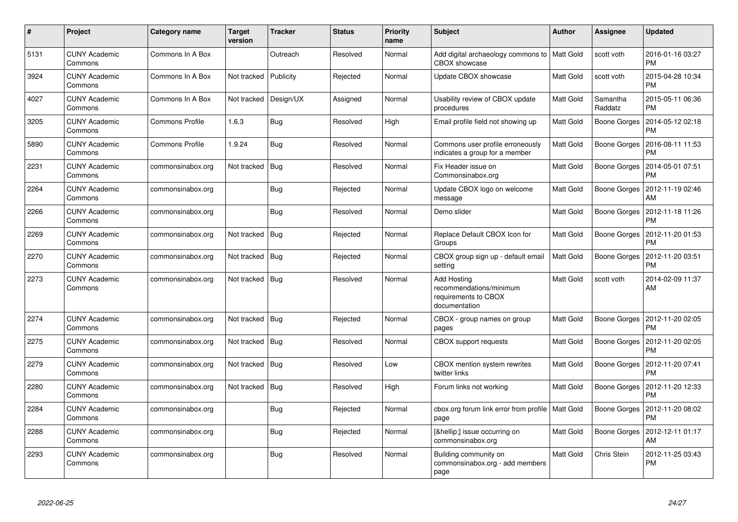| #    | Project                         | Category name          | <b>Target</b><br>version | <b>Tracker</b> | <b>Status</b> | <b>Priority</b><br>name | <b>Subject</b>                                                                         | <b>Author</b> | <b>Assignee</b>     | <b>Updated</b>                |
|------|---------------------------------|------------------------|--------------------------|----------------|---------------|-------------------------|----------------------------------------------------------------------------------------|---------------|---------------------|-------------------------------|
| 5131 | <b>CUNY Academic</b><br>Commons | Commons In A Box       |                          | Outreach       | Resolved      | Normal                  | Add digital archaeology commons to   Matt Gold<br>CBOX showcase                        |               | scott voth          | 2016-01-16 03:27<br><b>PM</b> |
| 3924 | <b>CUNY Academic</b><br>Commons | Commons In A Box       | Not tracked              | Publicity      | Rejected      | Normal                  | Update CBOX showcase                                                                   | Matt Gold     | scott voth          | 2015-04-28 10:34<br><b>PM</b> |
| 4027 | <b>CUNY Academic</b><br>Commons | Commons In A Box       | Not tracked              | Design/UX      | Assigned      | Normal                  | Usability review of CBOX update<br>procedures                                          | Matt Gold     | Samantha<br>Raddatz | 2015-05-11 06:36<br><b>PM</b> |
| 3205 | <b>CUNY Academic</b><br>Commons | <b>Commons Profile</b> | 1.6.3                    | <b>Bug</b>     | Resolved      | High                    | Email profile field not showing up                                                     | Matt Gold     | Boone Gorges        | 2014-05-12 02:18<br><b>PM</b> |
| 5890 | <b>CUNY Academic</b><br>Commons | Commons Profile        | 1.9.24                   | <b>Bug</b>     | Resolved      | Normal                  | Commons user profile erroneously<br>indicates a group for a member                     | Matt Gold     | Boone Gorges        | 2016-08-11 11:53<br>PM        |
| 2231 | <b>CUNY Academic</b><br>Commons | commonsinabox.org      | Not tracked              | Bug            | Resolved      | Normal                  | Fix Header issue on<br>Commonsinabox.org                                               | Matt Gold     | Boone Gorges        | 2014-05-01 07:51<br>PM        |
| 2264 | <b>CUNY Academic</b><br>Commons | commonsinabox.org      |                          | <b>Bug</b>     | Rejected      | Normal                  | Update CBOX logo on welcome<br>message                                                 | Matt Gold     | Boone Gorges        | 2012-11-19 02:46<br>AM        |
| 2266 | <b>CUNY Academic</b><br>Commons | commonsinabox.org      |                          | Bug            | Resolved      | Normal                  | Demo slider                                                                            | Matt Gold     | Boone Gorges        | 2012-11-18 11:26<br><b>PM</b> |
| 2269 | <b>CUNY Academic</b><br>Commons | commonsinabox.org      | Not tracked              | <b>Bug</b>     | Rejected      | Normal                  | Replace Default CBOX Icon for<br>Groups                                                | Matt Gold     | Boone Gorges        | 2012-11-20 01:53<br><b>PM</b> |
| 2270 | <b>CUNY Academic</b><br>Commons | commonsinabox.org      | Not tracked              | Bug            | Rejected      | Normal                  | CBOX group sign up - default email<br>setting                                          | Matt Gold     | Boone Gorges        | 2012-11-20 03:51<br><b>PM</b> |
| 2273 | <b>CUNY Academic</b><br>Commons | commonsinabox.org      | Not tracked   Bug        |                | Resolved      | Normal                  | <b>Add Hosting</b><br>recommendations/minimum<br>requirements to CBOX<br>documentation | Matt Gold     | scott voth          | 2014-02-09 11:37<br>AM        |
| 2274 | <b>CUNY Academic</b><br>Commons | commonsinabox.org      | Not tracked              | Bug            | Rejected      | Normal                  | CBOX - group names on group<br>pages                                                   | Matt Gold     | Boone Gorges        | 2012-11-20 02:05<br><b>PM</b> |
| 2275 | <b>CUNY Academic</b><br>Commons | commonsinabox.org      | Not tracked              | Bug            | Resolved      | Normal                  | <b>CBOX</b> support requests                                                           | Matt Gold     | Boone Gorges        | 2012-11-20 02:05<br><b>PM</b> |
| 2279 | <b>CUNY Academic</b><br>Commons | commonsinabox.org      | Not tracked              | Bug            | Resolved      | Low                     | CBOX mention system rewrites<br>twitter links                                          | Matt Gold     | Boone Gorges        | 2012-11-20 07:41<br><b>PM</b> |
| 2280 | <b>CUNY Academic</b><br>Commons | commonsinabox.org      | Not tracked              | <b>Bug</b>     | Resolved      | High                    | Forum links not working                                                                | Matt Gold     | Boone Gorges        | 2012-11-20 12:33<br><b>PM</b> |
| 2284 | <b>CUNY Academic</b><br>Commons | commonsinabox.org      |                          | Bug            | Rejected      | Normal                  | cbox.org forum link error from profile   Matt Gold<br>page                             |               | Boone Gorges        | 2012-11-20 08:02<br><b>PM</b> |
| 2288 | <b>CUNY Academic</b><br>Commons | commonsinabox.org      |                          | Bug            | Rejected      | Normal                  | […] issue occurring on<br>commonsinabox.org                                            | Matt Gold     | Boone Gorges        | 2012-12-11 01:17<br>AM        |
| 2293 | <b>CUNY Academic</b><br>Commons | commonsinabox.org      |                          | <b>Bug</b>     | Resolved      | Normal                  | Building community on<br>commonsinabox.org - add members<br>page                       | Matt Gold     | Chris Stein         | 2012-11-25 03:43<br><b>PM</b> |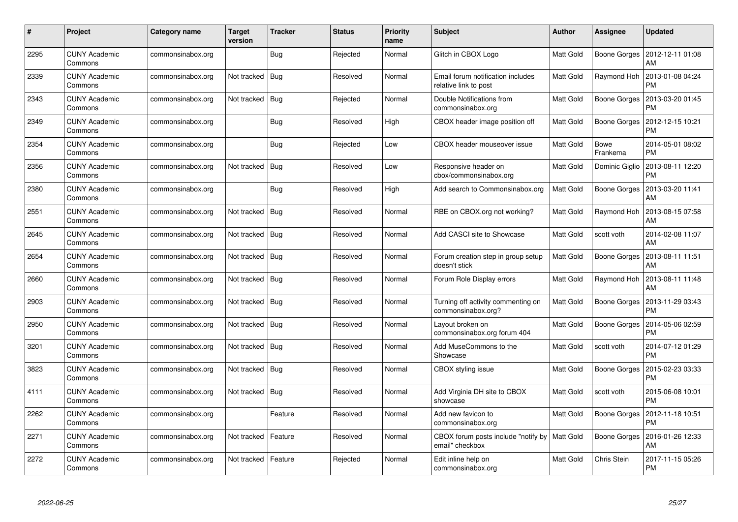| $\#$ | Project                         | Category name     | Target<br>version | <b>Tracker</b> | <b>Status</b> | <b>Priority</b><br>name | <b>Subject</b>                                             | Author           | Assignee                | <b>Updated</b>                |
|------|---------------------------------|-------------------|-------------------|----------------|---------------|-------------------------|------------------------------------------------------------|------------------|-------------------------|-------------------------------|
| 2295 | <b>CUNY Academic</b><br>Commons | commonsinabox.org |                   | Bug            | Rejected      | Normal                  | Glitch in CBOX Logo                                        | Matt Gold        | Boone Gorges            | 2012-12-11 01:08<br>AM        |
| 2339 | <b>CUNY Academic</b><br>Commons | commonsinabox.org | Not tracked       | Bug            | Resolved      | Normal                  | Email forum notification includes<br>relative link to post | Matt Gold        | Raymond Hoh             | 2013-01-08 04:24<br><b>PM</b> |
| 2343 | <b>CUNY Academic</b><br>Commons | commonsinabox.org | Not tracked       | <b>Bug</b>     | Rejected      | Normal                  | Double Notifications from<br>commonsinabox.org             | Matt Gold        | Boone Gorges            | 2013-03-20 01:45<br><b>PM</b> |
| 2349 | CUNY Academic<br>Commons        | commonsinabox.org |                   | Bug            | Resolved      | High                    | CBOX header image position off                             | Matt Gold        | Boone Gorges            | 2012-12-15 10:21<br><b>PM</b> |
| 2354 | <b>CUNY Academic</b><br>Commons | commonsinabox.org |                   | <b>Bug</b>     | Rejected      | Low                     | CBOX header mouseover issue                                | Matt Gold        | <b>Bowe</b><br>Frankema | 2014-05-01 08:02<br><b>PM</b> |
| 2356 | <b>CUNY Academic</b><br>Commons | commonsinabox.org | Not tracked       | Bug            | Resolved      | Low                     | Responsive header on<br>cbox/commonsinabox.org             | <b>Matt Gold</b> | Dominic Giglio          | 2013-08-11 12:20<br><b>PM</b> |
| 2380 | <b>CUNY Academic</b><br>Commons | commonsinabox.org |                   | Bug            | Resolved      | High                    | Add search to Commonsinabox.org                            | Matt Gold        | Boone Gorges            | 2013-03-20 11:41<br>AM        |
| 2551 | <b>CUNY Academic</b><br>Commons | commonsinabox.org | Not tracked       | Bug            | Resolved      | Normal                  | RBE on CBOX.org not working?                               | Matt Gold        | Raymond Hoh             | 2013-08-15 07:58<br>AM        |
| 2645 | <b>CUNY Academic</b><br>Commons | commonsinabox.org | Not tracked   Bug |                | Resolved      | Normal                  | Add CASCI site to Showcase                                 | Matt Gold        | scott voth              | 2014-02-08 11:07<br>AM        |
| 2654 | <b>CUNY Academic</b><br>Commons | commonsinabox.org | Not tracked       | Bug            | Resolved      | Normal                  | Forum creation step in group setup<br>doesn't stick        | Matt Gold        | Boone Gorges            | 2013-08-11 11:51<br>AM        |
| 2660 | <b>CUNY Academic</b><br>Commons | commonsinabox.org | Not tracked       | Bug            | Resolved      | Normal                  | Forum Role Display errors                                  | Matt Gold        | Raymond Hoh             | 2013-08-11 11:48<br>AM        |
| 2903 | <b>CUNY Academic</b><br>Commons | commonsinabox.org | Not tracked Bug   |                | Resolved      | Normal                  | Turning off activity commenting on<br>commonsinabox.org?   | Matt Gold        | Boone Gorges            | 2013-11-29 03:43<br><b>PM</b> |
| 2950 | <b>CUNY Academic</b><br>Commons | commonsinabox.org | Not tracked   Bug |                | Resolved      | Normal                  | Layout broken on<br>commonsinabox.org forum 404            | Matt Gold        | Boone Gorges            | 2014-05-06 02:59<br><b>PM</b> |
| 3201 | <b>CUNY Academic</b><br>Commons | commonsinabox.org | Not tracked       | <b>Bug</b>     | Resolved      | Normal                  | Add MuseCommons to the<br>Showcase                         | Matt Gold        | scott voth              | 2014-07-12 01:29<br><b>PM</b> |
| 3823 | <b>CUNY Academic</b><br>Commons | commonsinabox.org | Not tracked       | Bug            | Resolved      | Normal                  | CBOX styling issue                                         | Matt Gold        | Boone Gorges            | 2015-02-23 03:33<br><b>PM</b> |
| 4111 | <b>CUNY Academic</b><br>Commons | commonsinabox.org | Not tracked   Bug |                | Resolved      | Normal                  | Add Virginia DH site to CBOX<br>showcase                   | Matt Gold        | scott voth              | 2015-06-08 10:01<br><b>PM</b> |
| 2262 | <b>CUNY Academic</b><br>Commons | commonsinabox.org |                   | Feature        | Resolved      | Normal                  | Add new favicon to<br>commonsinabox.org                    | Matt Gold        | Boone Gorges            | 2012-11-18 10:51<br><b>PM</b> |
| 2271 | <b>CUNY Academic</b><br>Commons | commonsinabox.org | Not tracked       | Feature        | Resolved      | Normal                  | CBOX forum posts include "notify by<br>email" checkbox     | Matt Gold        | Boone Gorges            | 2016-01-26 12:33<br>AM        |
| 2272 | CUNY Academic<br>Commons        | commonsinabox.org | Not tracked       | Feature        | Rejected      | Normal                  | Edit inline help on<br>commonsinabox.org                   | Matt Gold        | Chris Stein             | 2017-11-15 05:26<br><b>PM</b> |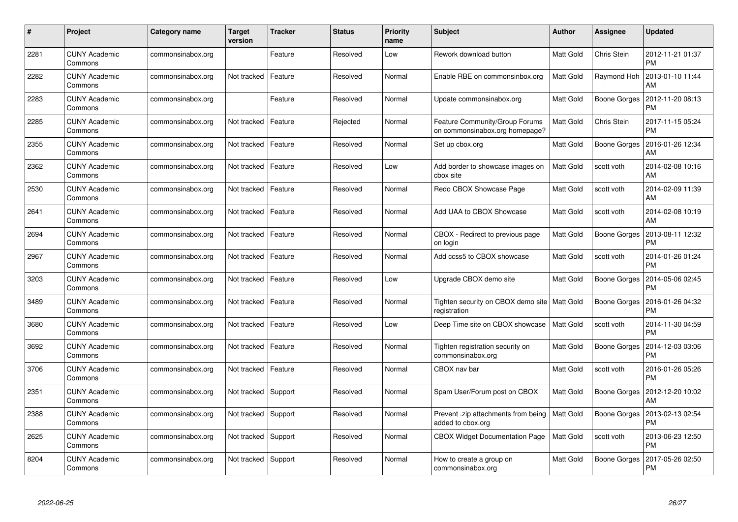| #    | Project                         | Category name     | <b>Target</b><br>version | <b>Tracker</b> | <b>Status</b> | <b>Priority</b><br>name | <b>Subject</b>                                                          | <b>Author</b>    | <b>Assignee</b> | <b>Updated</b>                |
|------|---------------------------------|-------------------|--------------------------|----------------|---------------|-------------------------|-------------------------------------------------------------------------|------------------|-----------------|-------------------------------|
| 2281 | <b>CUNY Academic</b><br>Commons | commonsinabox.org |                          | Feature        | Resolved      | Low                     | Rework download button                                                  | Matt Gold        | Chris Stein     | 2012-11-21 01:37<br><b>PM</b> |
| 2282 | <b>CUNY Academic</b><br>Commons | commonsinabox.org | Not tracked              | Feature        | Resolved      | Normal                  | Enable RBE on commonsinbox.org                                          | <b>Matt Gold</b> | Raymond Hoh     | 2013-01-10 11:44<br>AM        |
| 2283 | <b>CUNY Academic</b><br>Commons | commonsinabox.org |                          | Feature        | Resolved      | Normal                  | Update commonsinabox.org                                                | Matt Gold        | Boone Gorges    | 2012-11-20 08:13<br><b>PM</b> |
| 2285 | <b>CUNY Academic</b><br>Commons | commonsinabox.org | Not tracked              | Feature        | Rejected      | Normal                  | <b>Feature Community/Group Forums</b><br>on commonsinabox.org homepage? | Matt Gold        | Chris Stein     | 2017-11-15 05:24<br><b>PM</b> |
| 2355 | <b>CUNY Academic</b><br>Commons | commonsinabox.org | Not tracked              | Feature        | Resolved      | Normal                  | Set up cbox.org                                                         | Matt Gold        | Boone Gorges    | 2016-01-26 12:34<br>AM        |
| 2362 | <b>CUNY Academic</b><br>Commons | commonsinabox.org | Not tracked              | Feature        | Resolved      | Low                     | Add border to showcase images on<br>cbox site                           | Matt Gold        | scott voth      | 2014-02-08 10:16<br>AM        |
| 2530 | <b>CUNY Academic</b><br>Commons | commonsinabox.org | Not tracked              | Feature        | Resolved      | Normal                  | Redo CBOX Showcase Page                                                 | Matt Gold        | scott voth      | 2014-02-09 11:39<br>AM        |
| 2641 | <b>CUNY Academic</b><br>Commons | commonsinabox.org | Not tracked              | Feature        | Resolved      | Normal                  | Add UAA to CBOX Showcase                                                | Matt Gold        | scott voth      | 2014-02-08 10:19<br>AM        |
| 2694 | <b>CUNY Academic</b><br>Commons | commonsinabox.org | Not tracked              | Feature        | Resolved      | Normal                  | CBOX - Redirect to previous page<br>on login                            | Matt Gold        | Boone Gorges    | 2013-08-11 12:32<br><b>PM</b> |
| 2967 | <b>CUNY Academic</b><br>Commons | commonsinabox.org | Not tracked              | Feature        | Resolved      | Normal                  | Add ccss5 to CBOX showcase                                              | Matt Gold        | scott voth      | 2014-01-26 01:24<br><b>PM</b> |
| 3203 | <b>CUNY Academic</b><br>Commons | commonsinabox.org | Not tracked              | Feature        | Resolved      | Low                     | Upgrade CBOX demo site                                                  | Matt Gold        | Boone Gorges    | 2014-05-06 02:45<br><b>PM</b> |
| 3489 | <b>CUNY Academic</b><br>Commons | commonsinabox.org | Not tracked              | Feature        | Resolved      | Normal                  | Tighten security on CBOX demo site   Matt Gold<br>registration          |                  | Boone Gorges    | 2016-01-26 04:32<br><b>PM</b> |
| 3680 | <b>CUNY Academic</b><br>Commons | commonsinabox.org | Not tracked              | Feature        | Resolved      | Low                     | Deep Time site on CBOX showcase                                         | Matt Gold        | scott voth      | 2014-11-30 04:59<br><b>PM</b> |
| 3692 | <b>CUNY Academic</b><br>Commons | commonsinabox.org | Not tracked              | Feature        | Resolved      | Normal                  | Tighten registration security on<br>commonsinabox.org                   | Matt Gold        | Boone Gorges    | 2014-12-03 03:06<br><b>PM</b> |
| 3706 | <b>CUNY Academic</b><br>Commons | commonsinabox.org | Not tracked              | Feature        | Resolved      | Normal                  | CBOX nav bar                                                            | Matt Gold        | scott voth      | 2016-01-26 05:26<br><b>PM</b> |
| 2351 | <b>CUNY Academic</b><br>Commons | commonsinabox.org | Not tracked              | Support        | Resolved      | Normal                  | Spam User/Forum post on CBOX                                            | Matt Gold        | Boone Gorges    | 2012-12-20 10:02<br>AM        |
| 2388 | <b>CUNY Academic</b><br>Commons | commonsinabox.org | Not tracked              | Support        | Resolved      | Normal                  | Prevent .zip attachments from being<br>added to cbox.org                | Matt Gold        | Boone Gorges    | 2013-02-13 02:54<br><b>PM</b> |
| 2625 | <b>CUNY Academic</b><br>Commons | commonsinabox.org | Not tracked              | Support        | Resolved      | Normal                  | <b>CBOX Widget Documentation Page</b>                                   | Matt Gold        | scott voth      | 2013-06-23 12:50<br><b>PM</b> |
| 8204 | CUNY Academic<br>Commons        | commonsinabox.org | Not tracked              | Support        | Resolved      | Normal                  | How to create a group on<br>commonsinabox.org                           | Matt Gold        | Boone Gorges    | 2017-05-26 02:50<br>PM        |